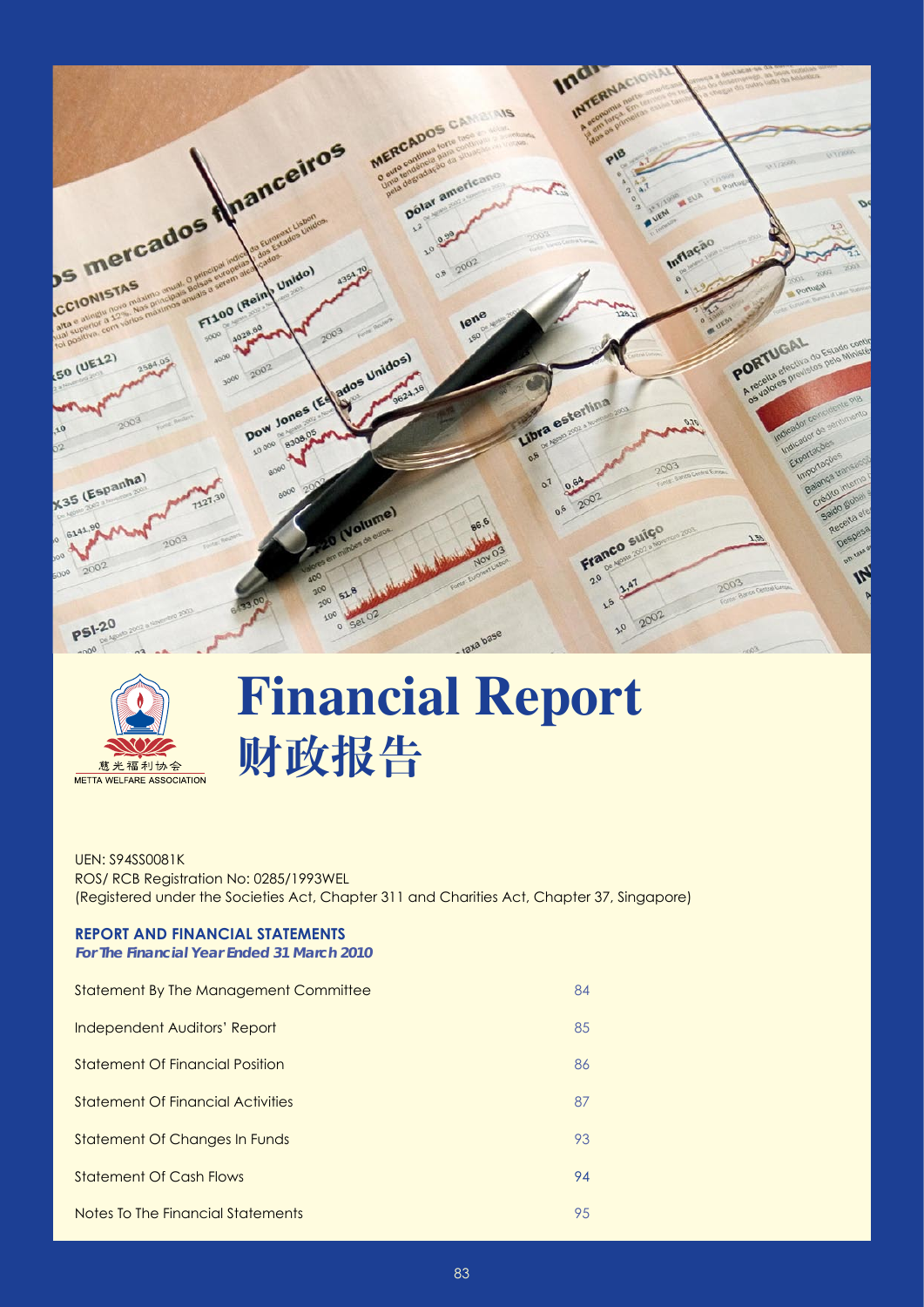



# **Financial Report 财政报告**

UEN: S94SS0081K ROS/ RCB Registration No: 0285/1993WEL (Registered under the Societies Act, Chapter 311 and Charities Act, Chapter 37, Singapore)

## **Report And Financial Statements**

*For The Financial Year Ended 31 March 2010*

| Statement By The Management Committee    | 84 |
|------------------------------------------|----|
| Independent Auditors' Report             | 85 |
| Statement Of Financial Position          | 86 |
| <b>Statement Of Financial Activities</b> | 87 |
| Statement Of Changes In Funds            | 93 |
| <b>Statement Of Cash Flows</b>           | 94 |
| Notes To The Financial Statements        | 95 |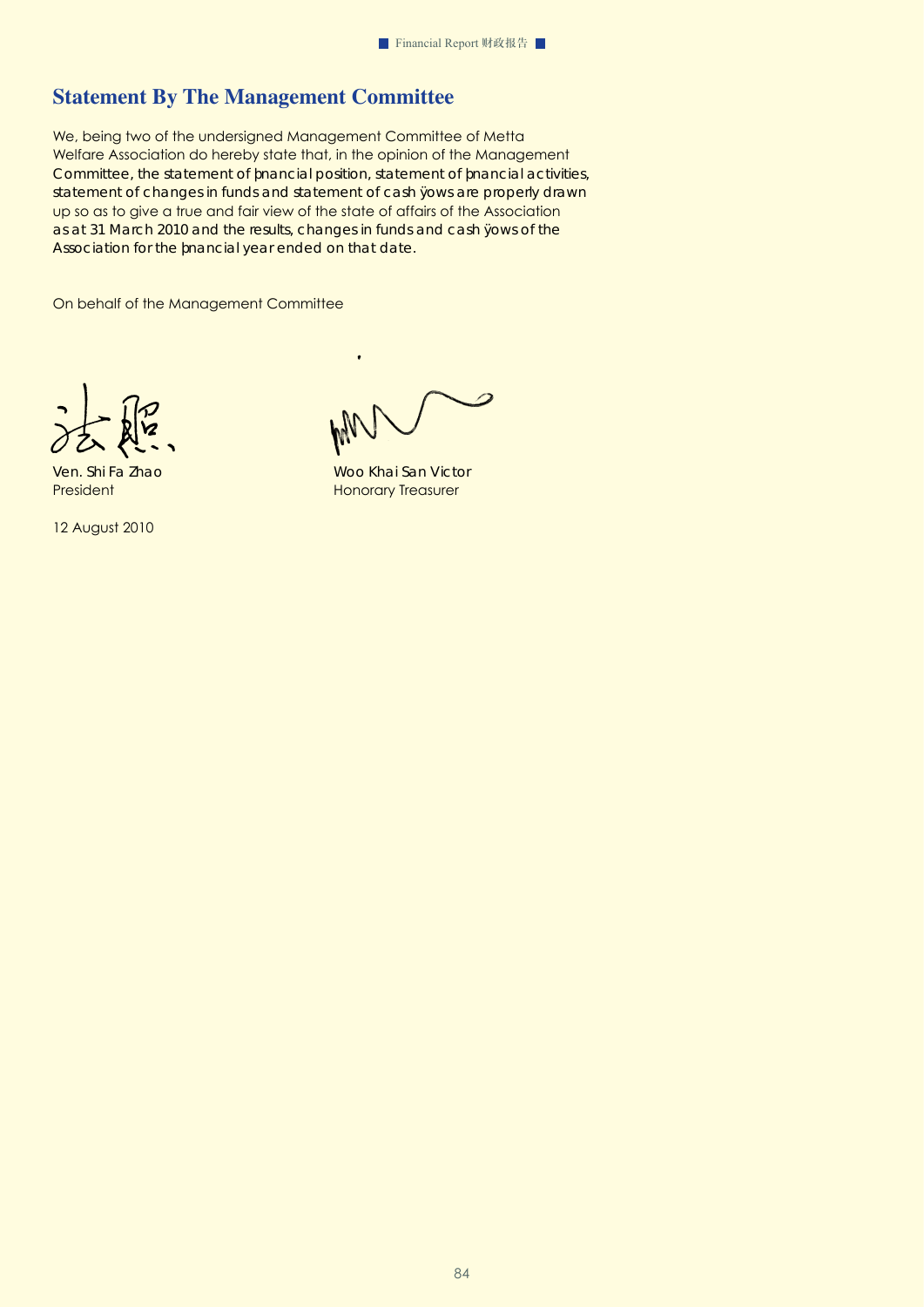# **Statement By The Management Committee**

We, being two of the undersigned Management Committee of Metta Welfare Association do hereby state that, in the opinion of the Management Committee, the statement of fnancial position, statement of fnancial activities, statement of changes in funds and statement of cash fows are properly drawn up so as to give a true and fair view of the state of affairs of the Association as at 31 March 2010 and the results, changes in funds and cash fows of the Association for the fnancial year ended on that date.

On behalf of the Management Committee

12 August 2010

 $\overline{a}$ 

Ven. Shi Fa Zhao Woo Khai San Victor President Honorary Treasurer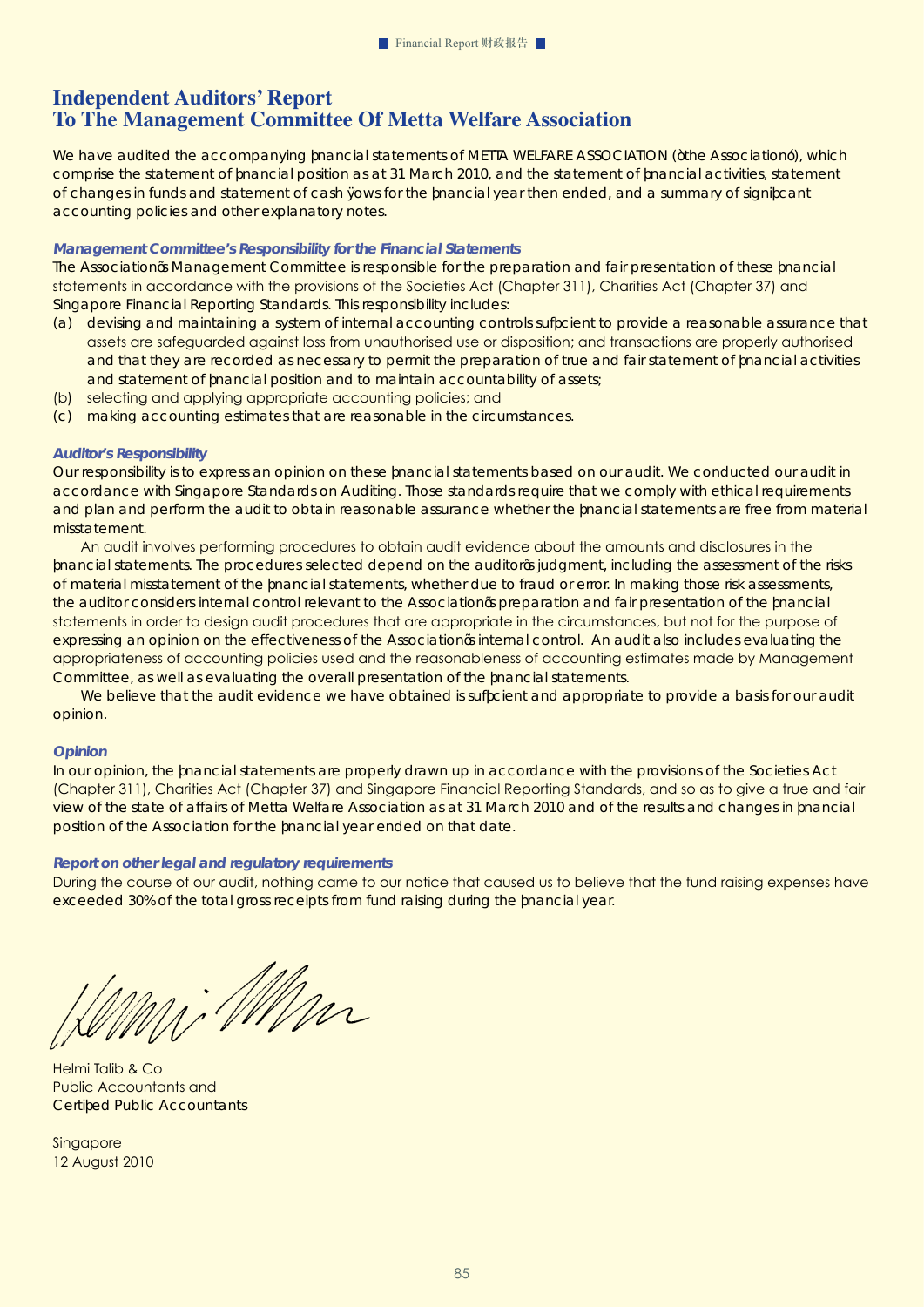# **Independent Auditors' Report To The Management Committee Of Metta Welfare Association**

We have audited the accompanying financial statements of METTA WELFARE ASSOCIATION ("the Association"), which comprise the statement of financial position as at 31 March 2010, and the statement of financial activities, statement of changes in funds and statement of cash fows for the financial year then ended, and a summary of significant accounting policies and other explanatory notes.

#### *Management Committee's Responsibility for the Financial Statements*

The Association's Management Committee is responsible for the preparation and fair presentation of these financial statements in accordance with the provisions of the Societies Act (Chapter 311), Charities Act (Chapter 37) and Singapore Financial Reporting Standards. This responsibility includes:

- (a) devising and maintaining a system of internal accounting controls sufficient to provide a reasonable assurance that assets are safeguarded against loss from unauthorised use or disposition; and transactions are properly authorised and that they are recorded as necessary to permit the preparation of true and fair statement of financial activities and statement of financial position and to maintain accountability of assets;
- (b) selecting and applying appropriate accounting policies; and
- (c) making accounting estimates that are reasonable in the circumstances.

#### *Auditor's Responsibility*

Our responsibility is to express an opinion on these financial statements based on our audit. We conducted our audit in accordance with Singapore Standards on Auditing. Those standards require that we comply with ethical requirements and plan and perform the audit to obtain reasonable assurance whether the financial statements are free from material missta tement.

An audit involves performing procedures to obtain audit evidence about the amounts and disclosures in the financial statements. The procedures selected depend on the auditor's judgment, including the assessment of the risks of material misstatement of the financial statements, whether due to fraud or error. In making those risk assessments, the auditor considers internal control relevant to the Association's preparation and fair presentation of the financial statements in order to design audit procedures that are appropriate in the circumstances, but not for the purpose of expressing an opinion on the effectiveness of the Association's internal control. An audit also includes evaluating the appropriateness of accounting policies used and the reasonableness of accounting estimates made by Management Committee, as well as evaluating the overall presentation of the financial statements.

We believe that the audit evidence we have obtained is sufficient and appropriate to provide a basis for our audit opinion.

#### *Opinion*

In our opinion, the financial statements are properly drawn up in accordance with the provisions of the Societies Act (Chapter 311), Charities Act (Chapter 37) and Singapore Financial Reporting Standards, and so as to give a true and fair view of the state of affairs of Metta Welfare Association as at 31 March 2010 and of the results and changes in financial position of the Association for the financial year ended on that date.

#### *Report on other legal and regulatory requirements*

During the course of our audit, nothing came to our notice that caused us to believe that the fund raising expenses have exceeded 30% of the total gross receipts from fund raising during the financial year.

Mi MM

Helmi Talib & Co Public Accountants and Certifed Public Accountants

**Singapore** 12 August 2010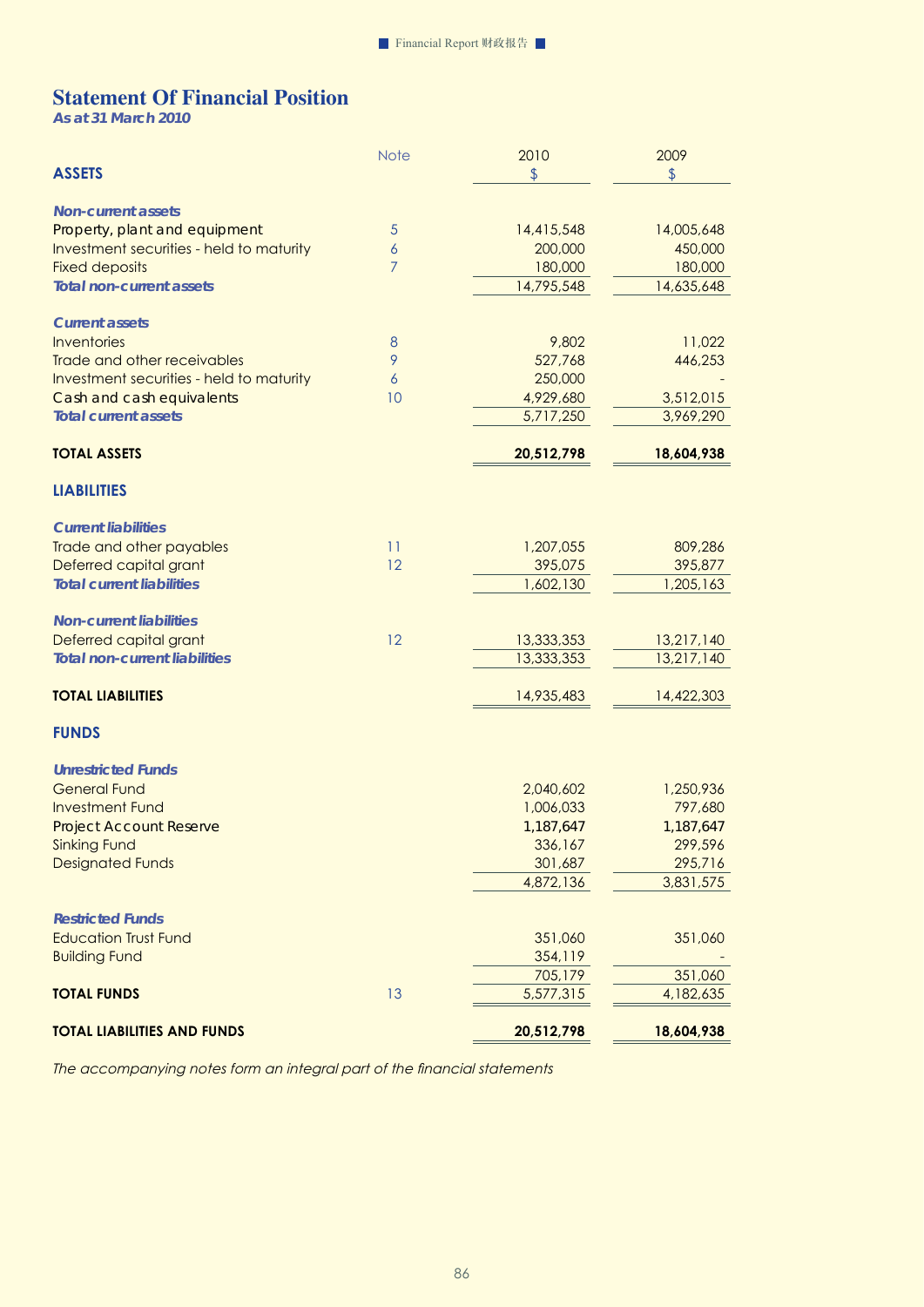# **Statement Of Financial Position**

*As at 31 March 2010* 

|                                                                           | <b>Note</b>    | 2010          | 2009          |
|---------------------------------------------------------------------------|----------------|---------------|---------------|
| <b>ASSETS</b>                                                             |                | $\frac{1}{2}$ | $\frac{1}{2}$ |
|                                                                           |                |               |               |
| <b>Non-current assets</b>                                                 | $\overline{5}$ | 14,415,548    | 14,005,648    |
| Property, plant and equipment<br>Investment securities - held to maturity | 6              | 200,000       | 450,000       |
| <b>Fixed deposits</b>                                                     | $\overline{7}$ | 180,000       | 180,000       |
| <b>Total non-current assets</b>                                           |                | 14,795,548    | 14,635,648    |
|                                                                           |                |               |               |
| <b>Current assets</b>                                                     |                |               |               |
| Inventories                                                               | $\,8\,$        | 9,802         | 11,022        |
| Trade and other receivables                                               | 9              | 527,768       | 446,253       |
| Investment securities - held to maturity                                  | 6              | 250,000       |               |
| Cash and cash equivalents                                                 | 10             | 4,929,680     | 3,512,015     |
| <b>Total current assets</b>                                               |                | 5,717,250     | 3,969,290     |
| <b>TOTAL ASSETS</b>                                                       |                | 20,512,798    | 18,604,938    |
|                                                                           |                |               |               |
| <b>LIABILITIES</b>                                                        |                |               |               |
| <b>Current liabilities</b>                                                |                |               |               |
| Trade and other payables                                                  | 11             | 1,207,055     | 809,286       |
| Deferred capital grant                                                    | 12             | 395,075       | 395,877       |
| <b>Total current liabilities</b>                                          |                | 1,602,130     | 1,205,163     |
|                                                                           |                |               |               |
| <b>Non-current liabilities</b>                                            |                |               |               |
| Deferred capital grant                                                    | 12             | 13,333,353    | 13,217,140    |
| <b>Total non-current liabilities</b>                                      |                | 13,333,353    | 13,217,140    |
| <b>TOTAL LIABILITIES</b>                                                  |                | 14,935,483    | 14,422,303    |
| <b>FUNDS</b>                                                              |                |               |               |
|                                                                           |                |               |               |
| <b>Unrestricted Funds</b><br><b>General Fund</b>                          |                | 2,040,602     | 1,250,936     |
| <b>Investment Fund</b>                                                    |                | 1,006,033     | 797,680       |
| <b>ProjectAccountReserve</b>                                              |                | 1,187,647     | 1,187,647     |
| <b>Sinking Fund</b>                                                       |                | 336,167       | 299,596       |
| <b>Designated Funds</b>                                                   |                | 301,687       | 295,716       |
|                                                                           |                | 4,872,136     | 3,831,575     |
|                                                                           |                |               |               |
| <b>Restricted Funds</b>                                                   |                |               |               |
| <b>Education Trust Fund</b>                                               |                | 351,060       | 351,060       |
| <b>Building Fund</b>                                                      |                | 354,119       |               |
|                                                                           |                | 705,179       | 351,060       |
| <b>TOTAL FUNDS</b>                                                        | 13             | 5,577,315     | 4,182,635     |
| <b>TOTAL LIABILITIES AND FUNDS</b>                                        |                | 20,512,798    | 18,604,938    |
|                                                                           |                |               |               |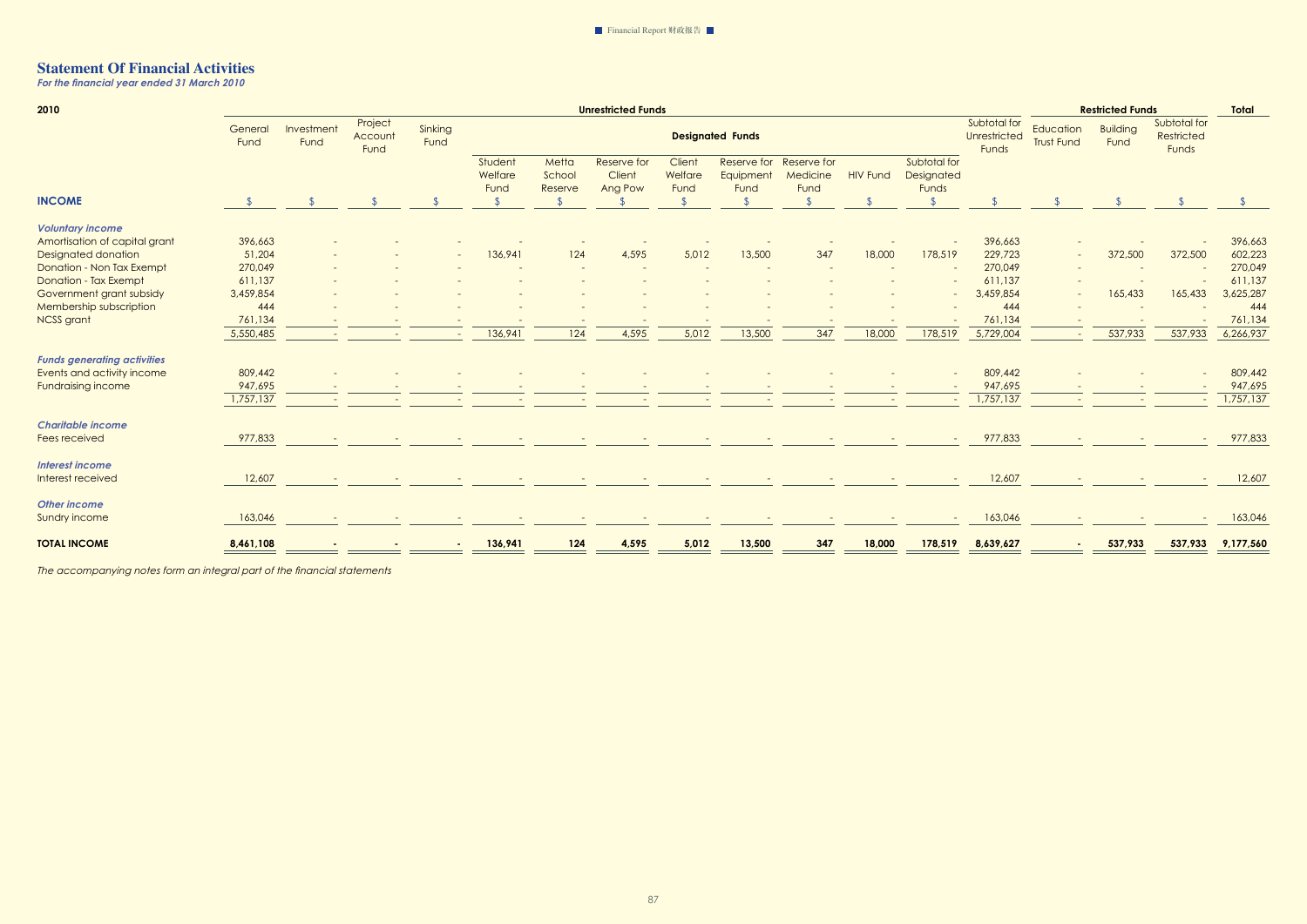*For the financial year ended 31 March 2010* 

| 2010                               |                 |                          |                            | <b>Unrestricted Funds</b> |                            |                            |                                  |                           |                                  |                                 |                 | <b>Restricted Funds</b>             |                                       |                                | <b>Total</b>            |                                     |           |
|------------------------------------|-----------------|--------------------------|----------------------------|---------------------------|----------------------------|----------------------------|----------------------------------|---------------------------|----------------------------------|---------------------------------|-----------------|-------------------------------------|---------------------------------------|--------------------------------|-------------------------|-------------------------------------|-----------|
|                                    | General<br>Fund | Investment<br>Fund       | Project<br>Account<br>Fund | Sinking<br>Fund           |                            |                            |                                  |                           | <b>Designated Funds</b>          |                                 |                 |                                     | Subtotal for<br>Unrestricted<br>Funds | Education<br><b>Trust Fund</b> | <b>Building</b><br>Fund | Subtotal for<br>Restricted<br>Funds |           |
|                                    |                 |                          |                            |                           | Student<br>Welfare<br>Fund | Metta<br>School<br>Reserve | Reserve for<br>Client<br>Ang Pow | Client<br>Welfare<br>Fund | Reserve for<br>Equipment<br>Fund | Reserve for<br>Medicine<br>Fund | <b>HIV Fund</b> | Subtotal for<br>Designated<br>Funds |                                       |                                |                         |                                     |           |
| <b>INCOME</b>                      |                 |                          |                            |                           | $\mathfrak{L}$             |                            |                                  |                           |                                  |                                 |                 | $\sqrt{2}$                          |                                       |                                |                         |                                     |           |
| <b>Voluntary income</b>            |                 |                          |                            |                           |                            |                            |                                  |                           |                                  |                                 |                 |                                     |                                       |                                |                         |                                     |           |
| Amortisation of capital grant      | 396,663         |                          |                            |                           |                            |                            |                                  |                           |                                  |                                 |                 |                                     | 396,663                               |                                |                         |                                     | 396,663   |
| <b>Designated donation</b>         | 51,204          |                          |                            |                           | 136,941                    | 124                        | 4,595                            | 5,012                     | 13,500                           | 347                             | 18,000          | 178,519                             | 229,723                               |                                | 372,500                 | 372,500                             | 602,223   |
| Donation - Non Tax Exempt          | 270,049         |                          |                            |                           |                            |                            |                                  |                           |                                  |                                 |                 |                                     | 270,049                               |                                |                         |                                     | 270,049   |
| <b>Donation - Tax Exempt</b>       | 611,137         |                          |                            |                           |                            |                            |                                  |                           |                                  |                                 |                 |                                     | 611,137                               |                                |                         |                                     | 611,137   |
| Government grant subsidy           | 3,459,854       |                          |                            |                           |                            |                            |                                  |                           |                                  |                                 |                 |                                     | 3,459,854                             | $\sim$                         | 165,433                 | 165,433                             | 3,625,287 |
| Membership subscription            | 444             |                          |                            |                           |                            |                            |                                  |                           |                                  |                                 |                 |                                     | 444                                   |                                |                         |                                     | 444       |
| <b>NCSS</b> grant                  | 761,134         |                          |                            |                           |                            |                            |                                  |                           |                                  |                                 |                 |                                     | 761,134                               |                                |                         |                                     | 761,134   |
|                                    | 5,550,485       | $\overline{\phantom{a}}$ |                            |                           | 136,941                    | 124                        | 4,595                            | 5,012                     | 13,500                           | 347                             | 18,000          | 178,519                             | 5,729,004                             |                                | 537,933                 | 537,933                             | 6,266,937 |
| <b>Funds generating activities</b> |                 |                          |                            |                           |                            |                            |                                  |                           |                                  |                                 |                 |                                     |                                       |                                |                         |                                     |           |
| Events and activity income         | 809,442         |                          |                            |                           |                            |                            |                                  |                           |                                  |                                 |                 |                                     | 809,442                               |                                |                         |                                     | 809,442   |
| <b>Fundraising income</b>          | 947,695         |                          |                            |                           |                            |                            |                                  |                           |                                  |                                 |                 |                                     | 947,695                               |                                |                         |                                     | 947,695   |
|                                    | 1,757,137       |                          |                            |                           |                            |                            |                                  |                           |                                  |                                 |                 |                                     | 1,757,137                             |                                |                         |                                     | 1,757,137 |
|                                    |                 |                          |                            |                           |                            |                            |                                  |                           |                                  |                                 |                 |                                     |                                       |                                |                         |                                     |           |
| <b>Charitable income</b>           |                 |                          |                            |                           |                            |                            |                                  |                           |                                  |                                 |                 |                                     |                                       |                                |                         |                                     |           |
| Fees received                      | 977,833         |                          |                            |                           |                            |                            |                                  |                           |                                  |                                 |                 |                                     | 977,833                               |                                |                         |                                     | 977,833   |
| <b>Interest income</b>             |                 |                          |                            |                           |                            |                            |                                  |                           |                                  |                                 |                 |                                     |                                       |                                |                         |                                     |           |
| Interest received                  | 12,607          |                          |                            |                           |                            |                            |                                  |                           |                                  |                                 |                 |                                     | 12,607                                |                                |                         |                                     | 12,607    |
| <b>Other income</b>                |                 |                          |                            |                           |                            |                            |                                  |                           |                                  |                                 |                 |                                     |                                       |                                |                         |                                     |           |
| Sundry income                      | 163,046         |                          |                            |                           |                            |                            |                                  |                           |                                  |                                 |                 |                                     | 163,046                               |                                |                         |                                     | 163,046   |
|                                    |                 |                          |                            |                           |                            |                            |                                  |                           |                                  |                                 |                 |                                     |                                       |                                |                         |                                     |           |
| <b>TOTAL INCOME</b>                | 8,461,108       |                          |                            |                           | 136,941                    | 124                        | 4,595                            | 5,012                     | 13,500                           | 347                             | 18,000          | 178,519                             | 8,639,627                             |                                | 537,933                 | 537,933                             | 9,177,560 |
|                                    |                 |                          |                            |                           |                            |                            |                                  |                           |                                  | $=$                             | $\equiv$        | $\equiv$                            |                                       |                                |                         | $\equiv$                            |           |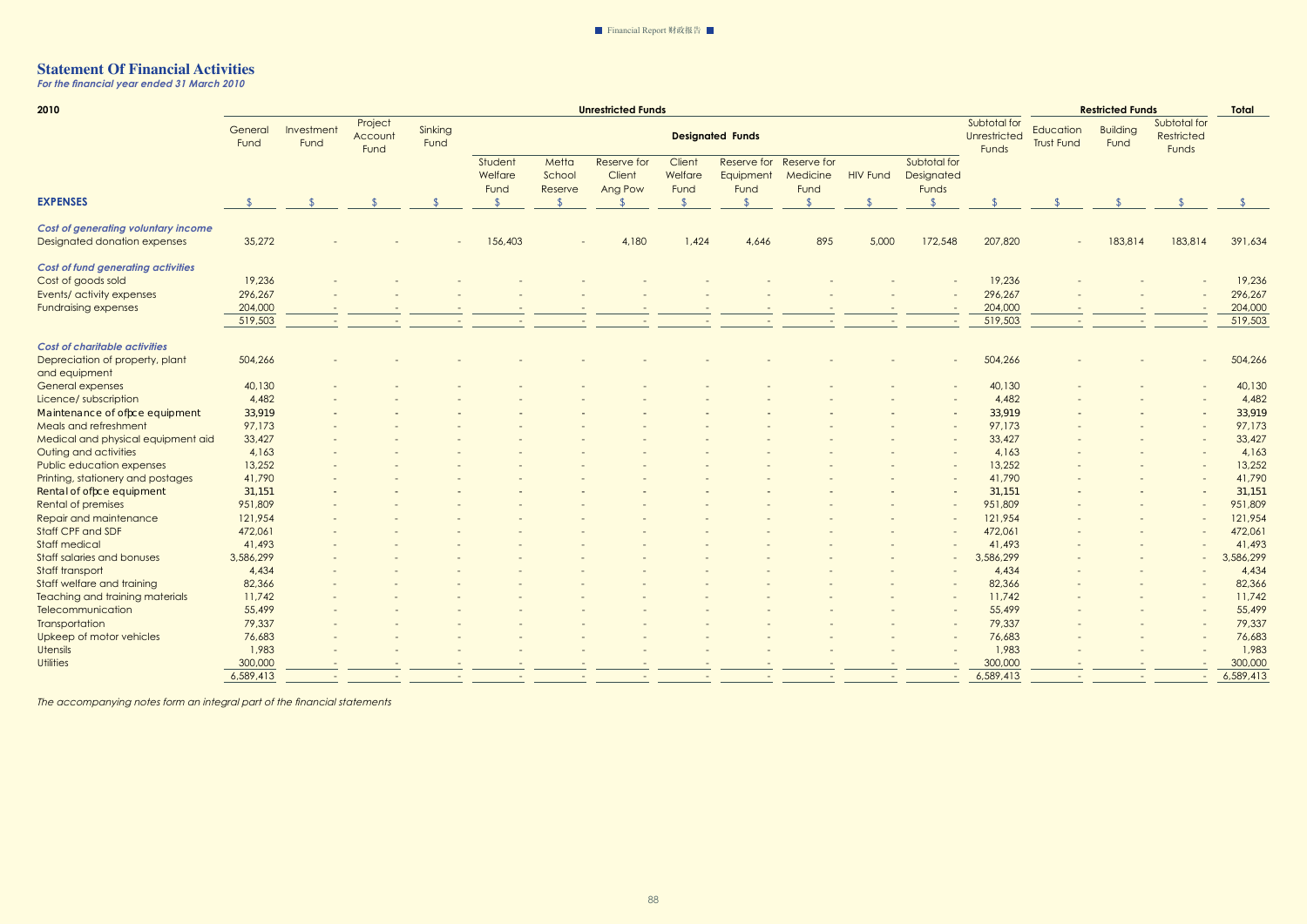*For the financial year ended 31 March 2010* 

| 2010                                       | <b>Unrestricted Funds</b> |                    |                            |                 |                            |                            |                                  |                           |                                  |                                 | <b>Restricted Funds</b><br><b>Total</b> |                                     |                                       |                                |                         |                                     |           |
|--------------------------------------------|---------------------------|--------------------|----------------------------|-----------------|----------------------------|----------------------------|----------------------------------|---------------------------|----------------------------------|---------------------------------|-----------------------------------------|-------------------------------------|---------------------------------------|--------------------------------|-------------------------|-------------------------------------|-----------|
|                                            | General<br>Fund           | Investment<br>Fund | Project<br>Account<br>Fund | Sinking<br>Fund |                            |                            |                                  |                           | <b>Designated Funds</b>          |                                 |                                         |                                     | Subtotal for<br>Unrestricted<br>Funds | Education<br><b>Trust Fund</b> | <b>Building</b><br>Fund | Subtotal for<br>Restricted<br>Funds |           |
|                                            |                           |                    |                            |                 | Student<br>Welfare<br>Fund | Metta<br>School<br>Reserve | Reserve for<br>Client<br>Ang Pow | Client<br>Welfare<br>Fund | Reserve for<br>Equipment<br>Fund | Reserve for<br>Medicine<br>Fund | <b>HIV Fund</b>                         | Subtotal for<br>Designated<br>Funds |                                       |                                |                         |                                     |           |
| <b>EXPENSES</b>                            |                           |                    |                            |                 |                            |                            |                                  |                           |                                  |                                 |                                         |                                     |                                       |                                |                         |                                     |           |
| <b>Cost of generating voluntary income</b> |                           |                    |                            |                 |                            |                            |                                  |                           |                                  |                                 |                                         |                                     |                                       |                                |                         |                                     |           |
| <b>Designated donation expenses</b>        | 35,272                    |                    |                            |                 | 156,403                    |                            | 4,180                            | 1,424                     | 4,646                            | 895                             | 5,000                                   | 172,548                             | 207,820                               |                                | 183,814                 | 183,814                             | 391,634   |
| <b>Cost of fund generating activities</b>  |                           |                    |                            |                 |                            |                            |                                  |                           |                                  |                                 |                                         |                                     |                                       |                                |                         |                                     |           |
| Cost of goods sold                         | 19,236                    |                    |                            |                 |                            |                            |                                  |                           |                                  |                                 |                                         |                                     | 19,236                                |                                |                         |                                     | 19,236    |
| Events/ activity expenses                  | 296,267                   |                    |                            |                 |                            |                            |                                  |                           |                                  |                                 |                                         |                                     | 296,267                               |                                |                         |                                     | 296,267   |
| <b>Fundraising expenses</b>                | 204,000                   |                    |                            |                 |                            |                            |                                  |                           |                                  |                                 |                                         |                                     | 204,000                               |                                |                         |                                     | 204,000   |
|                                            | 519,503                   |                    |                            |                 |                            |                            |                                  |                           |                                  |                                 |                                         |                                     | 519,503                               |                                |                         |                                     | 519,503   |
| <b>Cost of charitable activities</b>       |                           |                    |                            |                 |                            |                            |                                  |                           |                                  |                                 |                                         |                                     |                                       |                                |                         |                                     |           |
| Depreciation of property, plant            | 504,266                   |                    |                            |                 |                            |                            |                                  |                           |                                  |                                 |                                         |                                     | 504,266                               |                                |                         |                                     | 504,266   |
| and equipment                              |                           |                    |                            |                 |                            |                            |                                  |                           |                                  |                                 |                                         |                                     |                                       |                                |                         |                                     |           |
| General expenses                           | 40,130                    |                    |                            |                 |                            |                            |                                  |                           |                                  |                                 |                                         |                                     | 40,130                                |                                |                         |                                     | 40,130    |
| Licence/ subscription                      | 4,482                     |                    |                            |                 |                            |                            |                                  |                           |                                  |                                 |                                         |                                     | 4,482                                 |                                |                         |                                     | 4,482     |
| Maintenance of offce equipment             | 33,919                    |                    |                            |                 |                            |                            |                                  |                           |                                  |                                 |                                         |                                     | 33,919                                |                                |                         |                                     | 33,919    |
| <b>Meals and refreshment</b>               | 97,173                    |                    |                            |                 |                            |                            |                                  |                           |                                  |                                 |                                         |                                     | 97,173                                |                                |                         |                                     | 97,173    |
| Medical and physical equipment aid         | 33,427                    |                    |                            |                 |                            |                            |                                  |                           |                                  |                                 |                                         |                                     | 33,427                                |                                |                         |                                     | 33,427    |
| Outing and activities                      | 4,163                     |                    |                            |                 |                            |                            |                                  |                           |                                  |                                 |                                         |                                     | 4,163                                 |                                |                         |                                     | 4,163     |
| Public education expenses                  | 13,252                    |                    |                            |                 |                            |                            |                                  |                           |                                  |                                 |                                         |                                     | 13,252                                |                                |                         |                                     | 13,252    |
| Printing, stationery and postages          | 41,790                    |                    |                            |                 |                            |                            |                                  |                           |                                  |                                 |                                         |                                     | 41,790                                |                                |                         |                                     | 41,790    |
| Rental of offce equipment                  | 31,151                    |                    |                            |                 |                            |                            |                                  |                           |                                  |                                 |                                         |                                     | 31,151                                |                                |                         |                                     | 31,151    |
| <b>Rental of premises</b>                  | 951,809                   |                    |                            |                 |                            |                            |                                  |                           |                                  |                                 |                                         |                                     | 951,809                               |                                |                         |                                     | 951,809   |
| Repair and maintenance                     | 121,954                   |                    |                            |                 |                            |                            |                                  |                           |                                  |                                 |                                         |                                     | 121,954                               |                                |                         |                                     | 121,954   |
| Staff CPF and SDF                          | 472,061                   |                    |                            |                 |                            |                            |                                  |                           |                                  |                                 |                                         |                                     | 472,061                               |                                |                         |                                     | 472,061   |
| <b>Staff medical</b>                       | 41,493                    |                    |                            |                 |                            |                            |                                  |                           |                                  |                                 |                                         |                                     | 41,493                                |                                |                         |                                     | 41,493    |
| <b>Staff salaries and bonuses</b>          | 3,586,299                 |                    |                            |                 |                            |                            |                                  |                           |                                  |                                 |                                         |                                     | 3,586,299                             |                                |                         |                                     | 3,586,299 |
| Staff transport                            | 4,434                     |                    |                            |                 |                            |                            |                                  |                           |                                  |                                 |                                         |                                     | 4,434                                 |                                |                         |                                     | 4,434     |
| Staff welfare and training                 | 82,366                    |                    |                            |                 |                            |                            |                                  |                           |                                  |                                 |                                         |                                     | 82,366                                |                                |                         |                                     | 82,366    |
| <b>Teaching and training materials</b>     | 11,742                    |                    |                            |                 |                            |                            |                                  |                           |                                  |                                 |                                         |                                     | 11,742                                |                                |                         |                                     | 11,742    |
| Telecommunication                          | 55,499                    |                    |                            |                 |                            |                            |                                  |                           |                                  |                                 |                                         |                                     | 55,499                                |                                |                         |                                     | 55,499    |
| Transportation                             | 79,337                    |                    |                            |                 |                            |                            |                                  |                           |                                  |                                 |                                         |                                     | 79,337                                |                                |                         |                                     | 79,337    |
| <b>Upkeep of motor vehicles</b>            | 76,683                    |                    |                            |                 |                            |                            |                                  |                           |                                  |                                 |                                         |                                     | 76,683                                |                                |                         |                                     | 76,683    |
| <b>Utensils</b>                            | 1,983                     |                    |                            |                 |                            |                            |                                  |                           |                                  |                                 |                                         |                                     | 1,983                                 |                                |                         |                                     | 1,983     |
| <b>Utilities</b>                           | 300,000                   |                    |                            |                 |                            |                            |                                  |                           |                                  |                                 |                                         |                                     | 300,000                               |                                |                         |                                     | 300,000   |
|                                            | 6,589,413                 |                    |                            |                 |                            |                            |                                  |                           |                                  |                                 |                                         |                                     | 6,589,413                             |                                |                         |                                     | 6,589,413 |
|                                            |                           |                    |                            |                 |                            |                            |                                  |                           |                                  |                                 |                                         |                                     |                                       |                                |                         |                                     |           |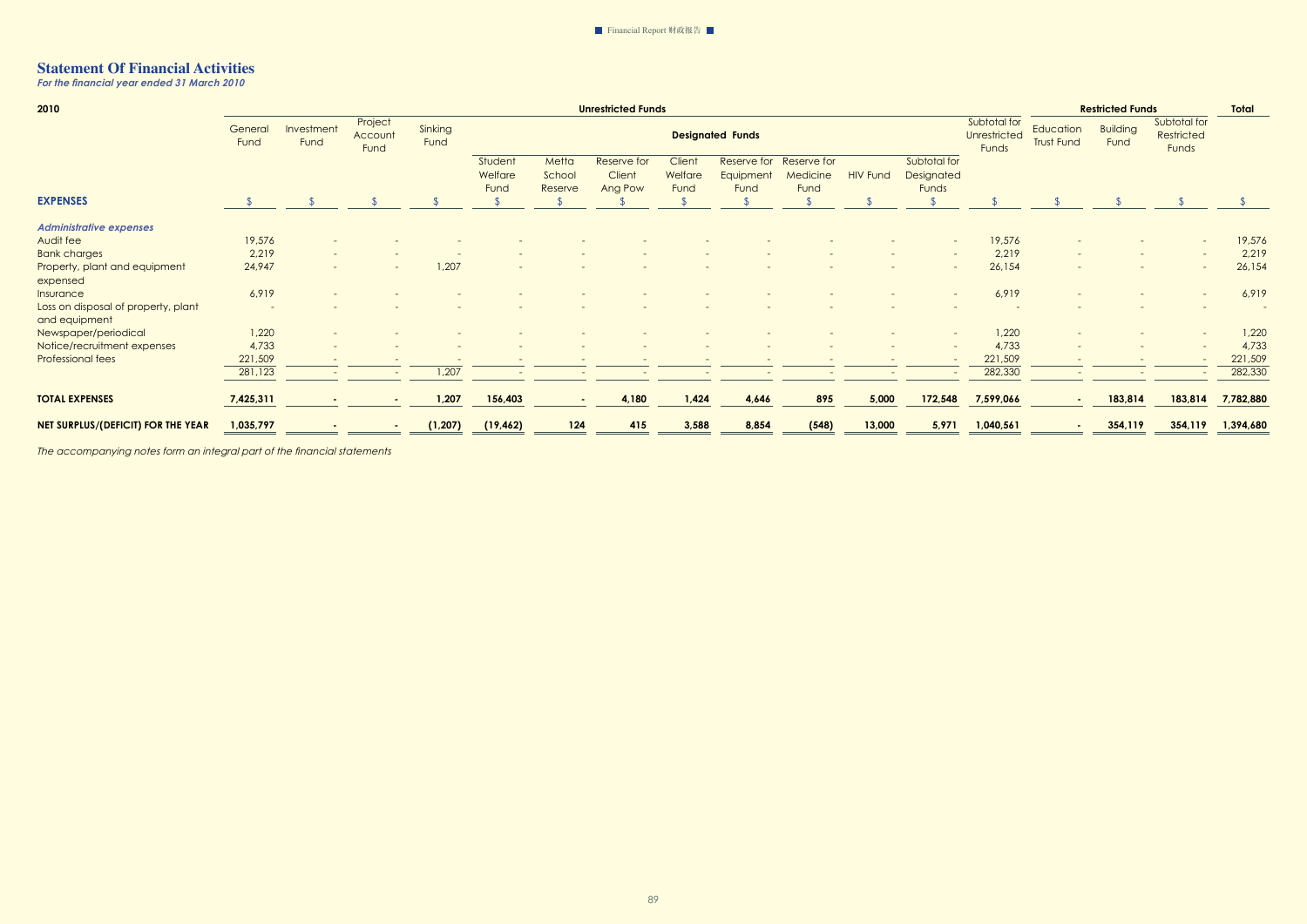*For the financial year ended 31 March 2010* 

| 2010                                                 | <b>Unrestricted Funds</b> |                          |                            |                 |                            |                            |                                  |                           |                                  |                                        |                 |                                     | <b>Restricted Funds</b>                      | Total                          |                         |                                     |           |
|------------------------------------------------------|---------------------------|--------------------------|----------------------------|-----------------|----------------------------|----------------------------|----------------------------------|---------------------------|----------------------------------|----------------------------------------|-----------------|-------------------------------------|----------------------------------------------|--------------------------------|-------------------------|-------------------------------------|-----------|
|                                                      | General<br>Fund           | Investment<br>Fund       | Project<br>Account<br>Fund | Sinking<br>Fund |                            |                            |                                  |                           | <b>Designated Funds</b>          |                                        |                 |                                     | Subtotal for<br><b>Unrestricted</b><br>Funds | Education<br><b>Trust Fund</b> | <b>Building</b><br>Fund | Subtotal for<br>Restricted<br>Funds |           |
|                                                      |                           |                          |                            |                 | Student<br>Welfare<br>Fund | Metta<br>School<br>Reserve | Reserve for<br>Client<br>Ang Pow | Client<br>Welfare<br>Fund | Reserve for<br>Equipment<br>Fund | Reserve for<br><b>Medicine</b><br>Fund | <b>HIV Fund</b> | Subtotal for<br>Designated<br>Funds |                                              |                                |                         |                                     |           |
| <b>EXPENSES</b>                                      |                           |                          |                            |                 |                            |                            |                                  |                           |                                  |                                        |                 |                                     |                                              |                                |                         |                                     |           |
| <b>Administrative expenses</b>                       |                           |                          |                            |                 |                            |                            |                                  |                           |                                  |                                        |                 |                                     |                                              |                                |                         |                                     |           |
| Audit fee                                            | 19,576                    |                          |                            |                 |                            |                            |                                  |                           |                                  |                                        |                 |                                     | 19,576                                       |                                |                         |                                     | 19,576    |
| <b>Bank charges</b>                                  | 2,219                     |                          |                            |                 |                            |                            |                                  |                           |                                  |                                        |                 |                                     | 2,219                                        |                                |                         |                                     | 2,219     |
| Property, plant and equipment<br>expensed            | 24,947                    | $\overline{a}$           |                            | 1,207           |                            |                            |                                  |                           |                                  |                                        |                 | $\overline{\phantom{m}}$            | 26,154                                       |                                |                         |                                     | 26,154    |
| Insurance                                            | 6,919                     |                          |                            |                 |                            |                            |                                  |                           |                                  |                                        |                 |                                     | 6,919                                        |                                |                         |                                     | 6,919     |
| Loss on disposal of property, plant<br>and equipment |                           |                          |                            |                 |                            |                            |                                  |                           |                                  |                                        |                 |                                     |                                              |                                |                         |                                     |           |
| Newspaper/periodical                                 | 1,220                     |                          |                            |                 |                            |                            |                                  |                           |                                  |                                        |                 |                                     | 1,220                                        |                                |                         |                                     | 1,220     |
| Notice/recruitment expenses                          | 4,733                     | $\overline{\phantom{0}}$ |                            |                 |                            |                            |                                  |                           |                                  |                                        |                 |                                     | 4,733                                        |                                |                         |                                     | 4,733     |
| <b>Professional fees</b>                             | 221,509                   |                          |                            |                 |                            |                            |                                  |                           |                                  |                                        |                 |                                     | 221,509                                      |                                |                         |                                     | 221,509   |
|                                                      | 281,123                   | $\sim$                   |                            | 1,207           |                            |                            |                                  |                           |                                  |                                        |                 |                                     | 282,330                                      | $\overline{\phantom{a}}$       |                         |                                     | 282,330   |
| <b>TOTAL EXPENSES</b>                                | 7,425,311                 | $\blacksquare$           |                            | 1,207           | 156,403                    | $\sim$                     | 4,180                            | 1,424                     | 4,646                            | 895                                    | 5,000           | 172,548                             | 7,599,066                                    | $\sim$                         | 183,814                 | 183,814                             | 7,782,880 |
| <b>NET SURPLUS/(DEFICIT) FOR THE YEAR</b>            | 1,035,797                 |                          |                            | (1, 207)        | (19, 462)                  | 124                        | 415                              | 3,588                     | 8,854                            | (548)                                  | 13,000          | 5,971                               | 1,040,561                                    | ٠                              | 354,119                 | 354,119                             | 1,394,680 |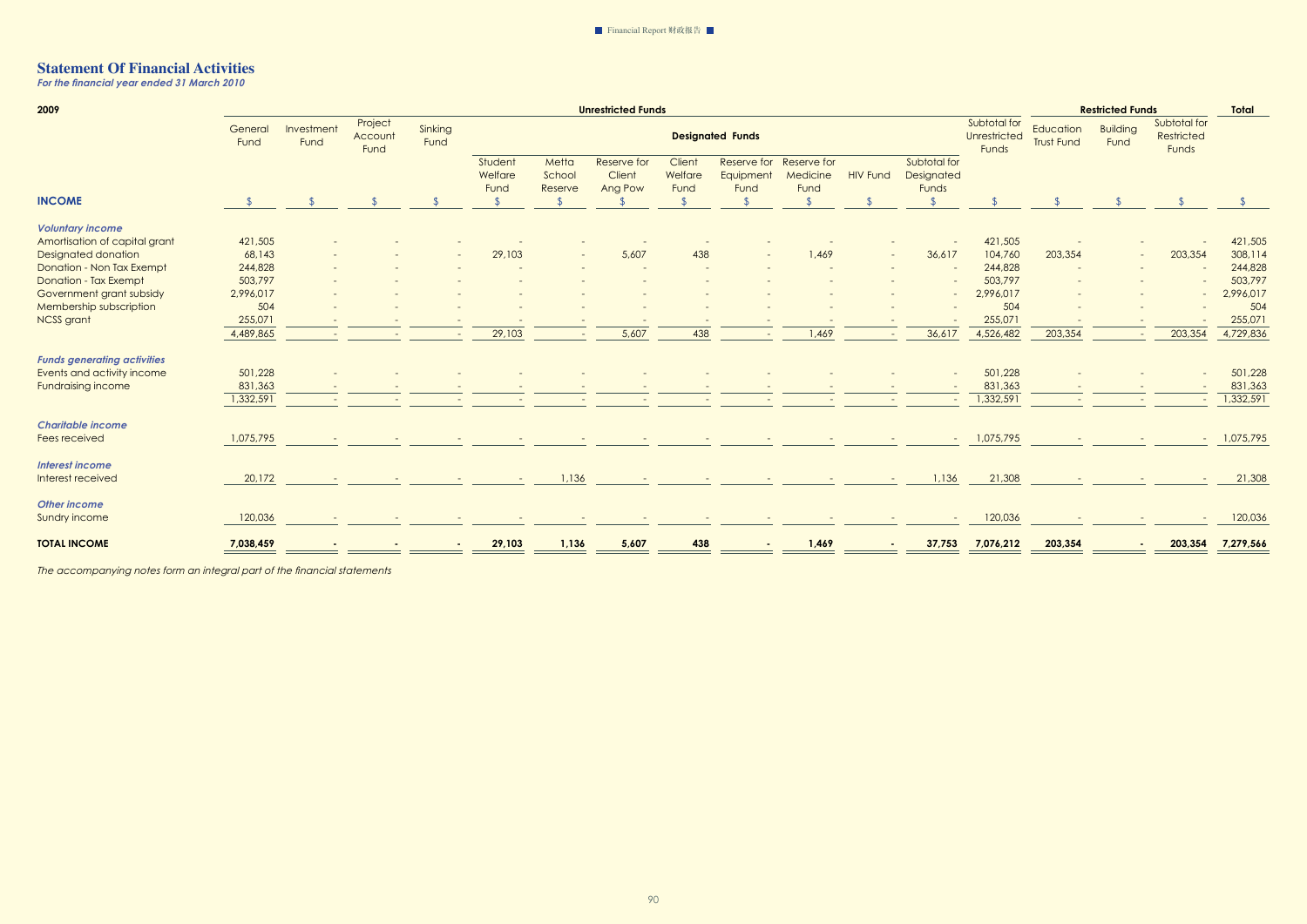*For the financial year ended 31 March 2010* 

| 2009                               |                 |                          | <b>Unrestricted Funds</b>  |                 |                            |                            |                                  |                           |                                  |                                 |                 | <b>Restricted Funds</b>             |                                       |                                |                         |                                     |           |
|------------------------------------|-----------------|--------------------------|----------------------------|-----------------|----------------------------|----------------------------|----------------------------------|---------------------------|----------------------------------|---------------------------------|-----------------|-------------------------------------|---------------------------------------|--------------------------------|-------------------------|-------------------------------------|-----------|
|                                    | General<br>Fund | Investment<br>Fund       | Project<br>Account<br>Fund | Sinking<br>Fund |                            |                            |                                  |                           | <b>Designated Funds</b>          |                                 |                 |                                     | Subtotal for<br>Unrestricted<br>Funds | Education<br><b>Trust Fund</b> | <b>Building</b><br>Fund | Subtotal for<br>Restricted<br>Funds |           |
|                                    |                 |                          |                            |                 | Student<br>Welfare<br>Fund | Metta<br>School<br>Reserve | Reserve for<br>Client<br>Ang Pow | Client<br>Welfare<br>Fund | Reserve for<br>Equipment<br>Fund | Reserve for<br>Medicine<br>Fund | <b>HIV Fund</b> | Subtotal for<br>Designated<br>Funds |                                       |                                |                         |                                     |           |
| <b>INCOME</b>                      |                 |                          |                            |                 | $\mathfrak{L}$             |                            |                                  |                           |                                  |                                 |                 | $\sqrt{2}$                          |                                       |                                |                         |                                     |           |
| <b>Voluntary income</b>            |                 |                          |                            |                 |                            |                            |                                  |                           |                                  |                                 |                 |                                     |                                       |                                |                         |                                     |           |
| Amortisation of capital grant      | 421,505         |                          |                            |                 |                            |                            |                                  |                           |                                  |                                 |                 |                                     | 421,505                               |                                |                         |                                     | 421,505   |
| <b>Designated donation</b>         | 68,143          |                          |                            |                 | 29,103                     |                            | 5,607                            | 438                       |                                  | 1,469                           |                 | 36,617                              | 104,760                               | 203,354                        |                         | 203,354                             | 308,114   |
| Donation - Non Tax Exempt          | 244,828         |                          |                            |                 |                            |                            |                                  |                           |                                  |                                 |                 |                                     | 244,828                               |                                |                         |                                     | 244,828   |
| <b>Donation - Tax Exempt</b>       | 503,797         |                          |                            |                 |                            |                            |                                  |                           |                                  |                                 |                 |                                     | 503,797                               |                                |                         |                                     | 503,797   |
| Government grant subsidy           | 2,996,017       |                          |                            |                 |                            |                            |                                  |                           |                                  |                                 |                 |                                     | 2,996,017                             |                                |                         |                                     | 2,996,017 |
| Membership subscription            | 504             |                          |                            |                 |                            |                            |                                  |                           |                                  |                                 |                 |                                     | 504                                   |                                |                         |                                     | 504       |
| <b>NCSS</b> grant                  | 255,071         |                          |                            |                 |                            |                            |                                  |                           |                                  |                                 |                 |                                     | 255,071                               |                                |                         |                                     | 255,071   |
|                                    | 4,489,865       | $\overline{\phantom{a}}$ |                            |                 | 29,103                     |                            | 5,607                            | 438                       |                                  | 1,469                           |                 | 36,617                              | 4,526,482                             | 203,354                        |                         | 203,354                             | 4,729,836 |
| <b>Funds generating activities</b> |                 |                          |                            |                 |                            |                            |                                  |                           |                                  |                                 |                 |                                     |                                       |                                |                         |                                     |           |
| Events and activity income         | 501,228         |                          |                            |                 |                            |                            |                                  |                           |                                  |                                 |                 |                                     | 501,228                               |                                |                         |                                     | 501,228   |
| <b>Fundraising income</b>          | 831,363         |                          |                            |                 |                            |                            |                                  |                           |                                  |                                 |                 |                                     | 831,363                               |                                |                         |                                     | 831,363   |
|                                    | 1,332,591       |                          |                            |                 |                            |                            |                                  |                           |                                  |                                 |                 |                                     | 1,332,591                             |                                |                         |                                     | 1,332,591 |
| <b>Charitable income</b>           |                 |                          |                            |                 |                            |                            |                                  |                           |                                  |                                 |                 |                                     |                                       |                                |                         |                                     |           |
| Fees received                      | 1,075,795       |                          |                            |                 |                            |                            |                                  |                           |                                  |                                 |                 |                                     | 1,075,795                             |                                |                         |                                     | 1,075,795 |
| <b>Interest income</b>             |                 |                          |                            |                 |                            |                            |                                  |                           |                                  |                                 |                 |                                     |                                       |                                |                         |                                     |           |
| Interest received                  | 20,172          | $\sim$                   |                            |                 | $\overline{\phantom{a}}$   | 1,136                      |                                  |                           |                                  |                                 |                 | 1,136                               | 21,308                                |                                |                         |                                     | 21,308    |
| <b>Other income</b>                |                 |                          |                            |                 |                            |                            |                                  |                           |                                  |                                 |                 |                                     |                                       |                                |                         |                                     |           |
| Sundry income                      | 120,036         |                          |                            |                 |                            |                            |                                  |                           |                                  |                                 |                 |                                     | 120,036                               |                                |                         |                                     | 120,036   |
| <b>TOTAL INCOME</b>                | 7,038,459       |                          |                            |                 | 29,103                     | 1,136                      | 5,607                            | 438                       |                                  | 1,469                           |                 | 37,753                              | 7,076,212                             | 203,354                        |                         | 203,354                             | 7,279,566 |
|                                    |                 |                          |                            |                 |                            |                            |                                  |                           |                                  |                                 |                 |                                     |                                       |                                |                         |                                     |           |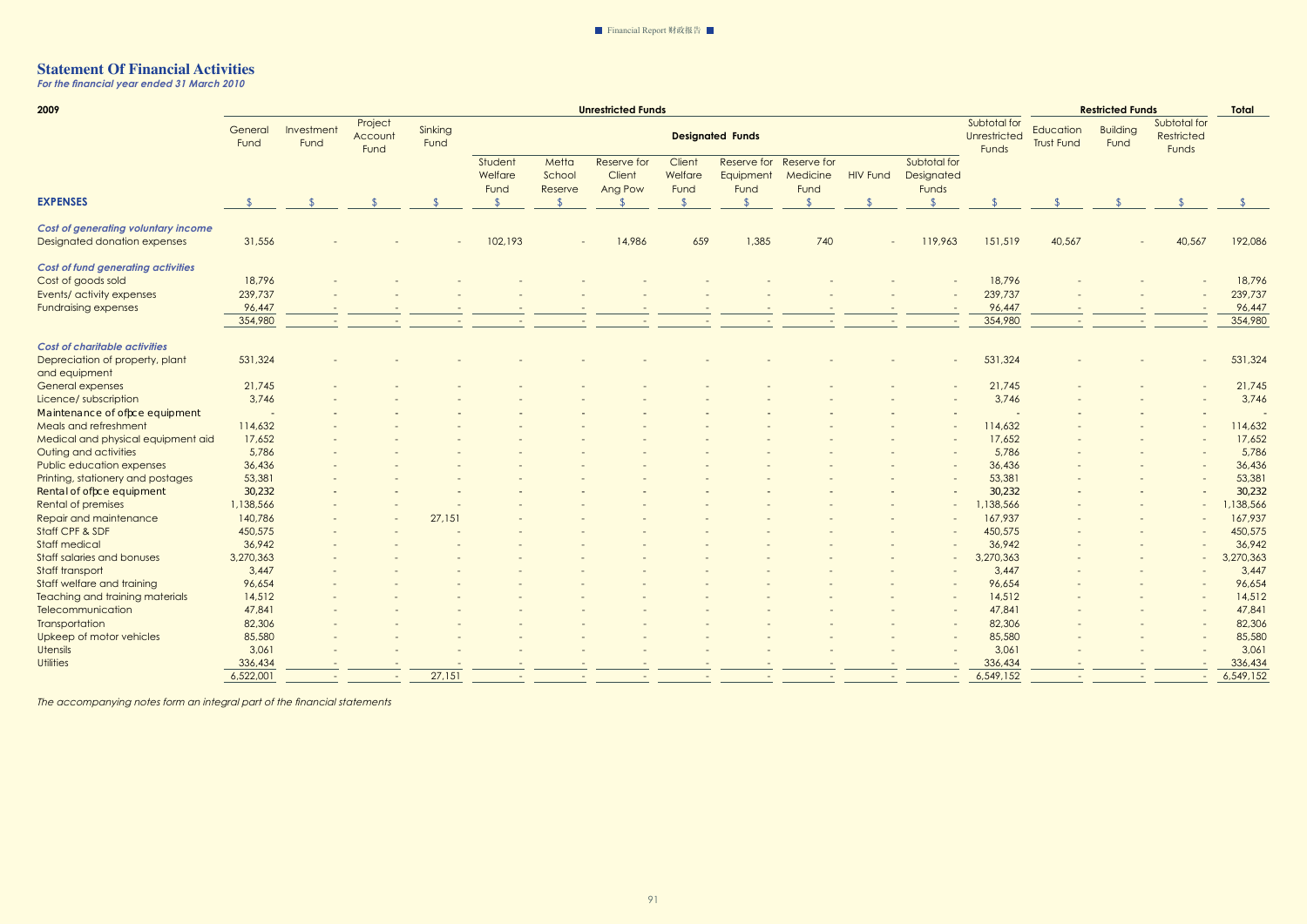*For the financial year ended 31 March 2010* 

| 2009                                       | <b>Unrestricted Funds</b> |                                                                                                |  |        |                            |                            |                                  |                           |                                  | <b>Restricted Funds</b><br><b>Total</b> |                                       |                                     |                         |                                     |  |        |           |
|--------------------------------------------|---------------------------|------------------------------------------------------------------------------------------------|--|--------|----------------------------|----------------------------|----------------------------------|---------------------------|----------------------------------|-----------------------------------------|---------------------------------------|-------------------------------------|-------------------------|-------------------------------------|--|--------|-----------|
|                                            | General<br>Fund           | Project<br>Sinking<br>Investment<br><b>Designated Funds</b><br>Account<br>Fund<br>Fund<br>Fund |  |        |                            |                            |                                  |                           |                                  |                                         | Subtotal for<br>Unrestricted<br>Funds | Education<br><b>Trust Fund</b>      | <b>Building</b><br>Fund | Subtotal for<br>Restricted<br>Funds |  |        |           |
|                                            |                           |                                                                                                |  |        | Student<br>Welfare<br>Fund | Metta<br>School<br>Reserve | Reserve for<br>Client<br>Ang Pow | Client<br>Welfare<br>Fund | Reserve for<br>Equipment<br>Fund | Reserve for<br>Medicine<br>Fund         | <b>HIV Fund</b>                       | Subtotal for<br>Designated<br>Funds |                         |                                     |  |        |           |
| <b>EXPENSES</b>                            |                           |                                                                                                |  |        |                            |                            |                                  |                           |                                  |                                         |                                       |                                     |                         |                                     |  |        |           |
| <b>Cost of generating voluntary income</b> |                           |                                                                                                |  |        |                            |                            |                                  |                           |                                  |                                         |                                       |                                     |                         |                                     |  |        |           |
| Designated donation expenses               | 31,556                    |                                                                                                |  |        | 102,193                    |                            | 14,986                           | 659                       | 1,385                            | 740                                     |                                       | 119,963                             | 151,519                 | 40,567                              |  | 40,567 | 192,086   |
| <b>Cost of fund generating activities</b>  |                           |                                                                                                |  |        |                            |                            |                                  |                           |                                  |                                         |                                       |                                     |                         |                                     |  |        |           |
| Cost of goods sold                         | 18,796                    |                                                                                                |  |        |                            |                            |                                  |                           |                                  |                                         |                                       |                                     | 18,796                  |                                     |  |        | 18,796    |
| Events/ activity expenses                  | 239,737                   |                                                                                                |  |        |                            |                            |                                  |                           |                                  |                                         |                                       |                                     | 239,737                 |                                     |  |        | 239,737   |
| <b>Fundraising expenses</b>                | 96,447                    |                                                                                                |  |        |                            |                            |                                  |                           |                                  |                                         |                                       |                                     | 96,447                  |                                     |  |        | 96,447    |
|                                            | 354,980                   |                                                                                                |  |        |                            |                            |                                  |                           |                                  |                                         |                                       |                                     | 354,980                 |                                     |  |        | 354,980   |
| <b>Cost of charitable activities</b>       |                           |                                                                                                |  |        |                            |                            |                                  |                           |                                  |                                         |                                       |                                     |                         |                                     |  |        |           |
| Depreciation of property, plant            | 531,324                   |                                                                                                |  |        |                            |                            |                                  |                           |                                  |                                         |                                       |                                     | 531,324                 |                                     |  |        | 531,324   |
| and equipment                              |                           |                                                                                                |  |        |                            |                            |                                  |                           |                                  |                                         |                                       |                                     |                         |                                     |  |        |           |
| <b>General expenses</b>                    | 21,745                    |                                                                                                |  |        |                            |                            |                                  |                           |                                  |                                         |                                       |                                     | 21,745                  |                                     |  |        | 21,745    |
| Licence/ subscription                      | 3,746                     |                                                                                                |  |        |                            |                            |                                  |                           |                                  |                                         |                                       |                                     | 3,746                   |                                     |  |        | 3,746     |
| Maintenance of offce equipment             |                           |                                                                                                |  |        |                            |                            |                                  |                           |                                  |                                         |                                       |                                     |                         |                                     |  |        |           |
| Meals and refreshment                      | 114,632                   |                                                                                                |  |        |                            |                            |                                  |                           |                                  |                                         |                                       |                                     | 114,632                 |                                     |  |        | 114,632   |
| Medical and physical equipment aid         | 17,652                    |                                                                                                |  |        |                            |                            |                                  |                           |                                  |                                         |                                       |                                     | 17,652                  |                                     |  |        | 17,652    |
| Outing and activities                      | 5,786                     |                                                                                                |  |        |                            |                            |                                  |                           |                                  |                                         |                                       |                                     | 5,786                   |                                     |  |        | 5,786     |
| Public education expenses                  | 36,436                    |                                                                                                |  |        |                            |                            |                                  |                           |                                  |                                         |                                       |                                     | 36,436                  |                                     |  |        | 36,436    |
| Printing, stationery and postages          | 53,381                    |                                                                                                |  |        |                            |                            |                                  |                           |                                  |                                         |                                       |                                     | 53,381                  |                                     |  |        | 53,381    |
| Rental of offce equipment                  | 30,232                    |                                                                                                |  |        |                            |                            |                                  |                           |                                  |                                         |                                       |                                     | 30,232                  |                                     |  |        | 30,232    |
| <b>Rental of premises</b>                  | 1,138,566                 |                                                                                                |  |        |                            |                            |                                  |                           |                                  |                                         |                                       |                                     | 1,138,566               |                                     |  |        | ,138,566  |
| Repair and maintenance                     | 140,786                   |                                                                                                |  | 27,151 |                            |                            |                                  |                           |                                  |                                         |                                       |                                     | 167,937                 |                                     |  |        | 167,937   |
| Staff CPF & SDF                            | 450,575                   |                                                                                                |  |        |                            |                            |                                  |                           |                                  |                                         |                                       |                                     | 450,575                 |                                     |  |        | 450,575   |
| <b>Staff medical</b>                       | 36,942                    |                                                                                                |  |        |                            |                            |                                  |                           |                                  |                                         |                                       |                                     | 36,942                  |                                     |  |        | 36,942    |
| <b>Staff salaries and bonuses</b>          | 3,270,363                 |                                                                                                |  |        |                            |                            |                                  |                           |                                  |                                         |                                       |                                     | 3,270,363               |                                     |  |        | 3,270,363 |
| Staff transport                            | 3,447                     |                                                                                                |  |        |                            |                            |                                  |                           |                                  |                                         |                                       |                                     | 3,447                   |                                     |  |        | 3,447     |
| Staff welfare and training                 | 96,654                    |                                                                                                |  |        |                            |                            |                                  |                           |                                  |                                         |                                       |                                     | 96,654                  |                                     |  |        | 96,654    |
| <b>Teaching and training materials</b>     | 14,512                    |                                                                                                |  |        |                            |                            |                                  |                           |                                  |                                         |                                       |                                     | 14,512                  |                                     |  |        | 14,512    |
| <b>Telecommunication</b>                   | 47,841                    |                                                                                                |  |        |                            |                            |                                  |                           |                                  |                                         |                                       |                                     | 47,841                  |                                     |  |        | 47,841    |
| <b>Transportation</b>                      | 82,306                    |                                                                                                |  |        |                            |                            |                                  |                           |                                  |                                         |                                       |                                     | 82,306                  |                                     |  |        | 82,306    |
| Upkeep of motor vehicles                   | 85,580                    |                                                                                                |  |        |                            |                            |                                  |                           |                                  |                                         |                                       |                                     | 85,580                  |                                     |  |        | 85,580    |
| <b>Utensils</b>                            | 3,061                     |                                                                                                |  |        |                            |                            |                                  |                           |                                  |                                         |                                       |                                     | 3,061                   |                                     |  |        | 3,06      |
| <b>Utilities</b>                           | 336,434                   |                                                                                                |  |        |                            |                            |                                  |                           |                                  |                                         |                                       |                                     | 336,434                 |                                     |  |        | 336,434   |
|                                            | 6,522,001                 |                                                                                                |  | 27,151 |                            |                            |                                  |                           |                                  |                                         |                                       |                                     | 6,549,152               |                                     |  |        | 6,549,152 |
|                                            |                           |                                                                                                |  |        |                            |                            |                                  |                           |                                  |                                         |                                       |                                     |                         |                                     |  |        |           |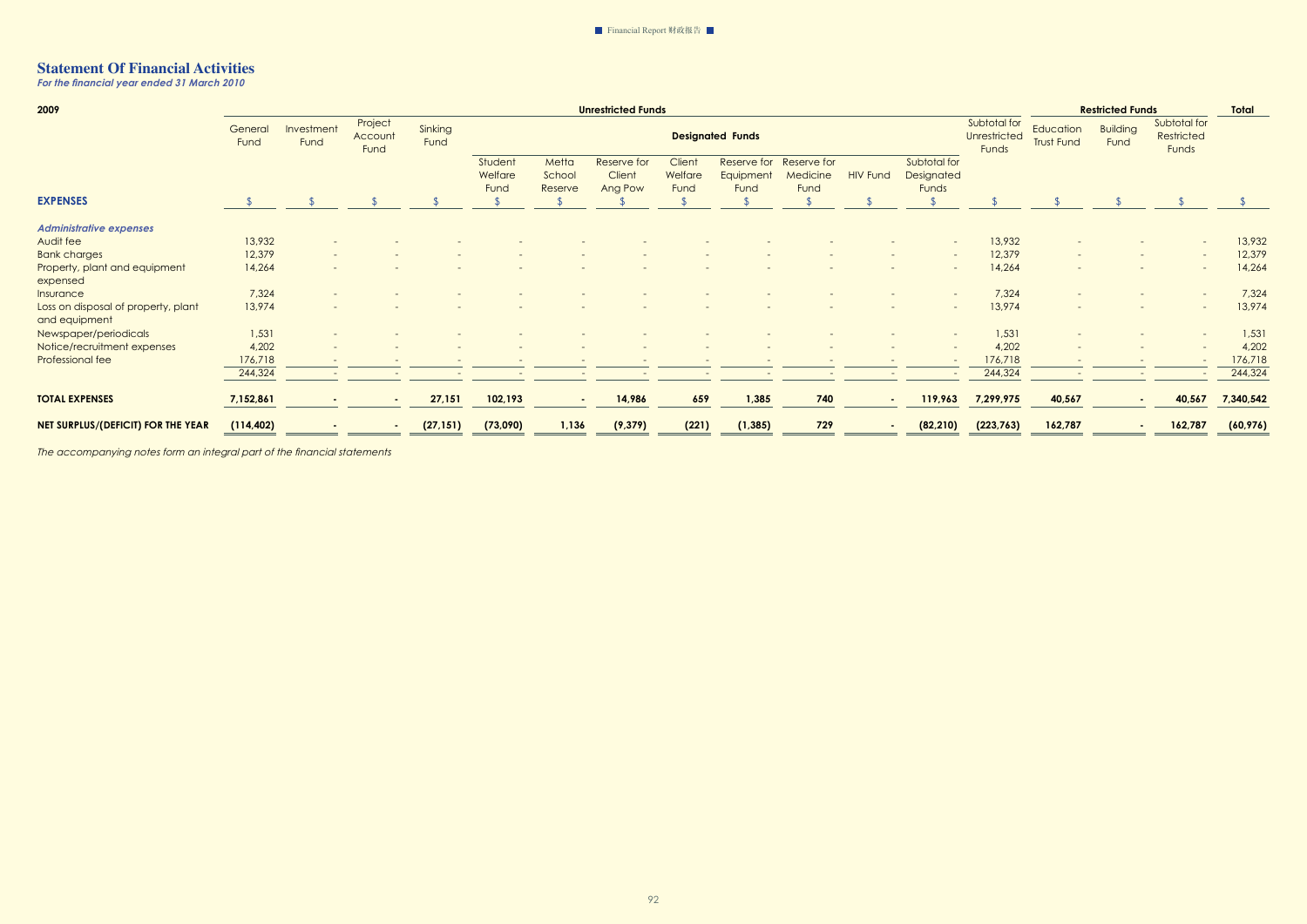*For the financial year ended 31 March 2010* 

| 2009                                                 | <b>Unrestricted Funds</b> |                          |                            |                 |                            |                            |                                  |                           |                                  |                                 |                          |                                     |                                              | <b>Restricted Funds</b>        |                         |                                     |           |
|------------------------------------------------------|---------------------------|--------------------------|----------------------------|-----------------|----------------------------|----------------------------|----------------------------------|---------------------------|----------------------------------|---------------------------------|--------------------------|-------------------------------------|----------------------------------------------|--------------------------------|-------------------------|-------------------------------------|-----------|
|                                                      | General<br>Fund           | Investment<br>Fund       | Project<br>Account<br>Fund | Sinking<br>Fund |                            |                            |                                  |                           | <b>Designated Funds</b>          |                                 |                          |                                     | Subtotal for<br><b>Unrestricted</b><br>Funds | Education<br><b>Trust Fund</b> | <b>Building</b><br>Fund | Subtotal for<br>Restricted<br>Funds |           |
|                                                      |                           |                          |                            |                 | Student<br>Welfare<br>Fund | Metta<br>School<br>Reserve | Reserve for<br>Client<br>Ang Pow | Client<br>Welfare<br>Fund | Reserve for<br>Equipment<br>Fund | Reserve for<br>Medicine<br>Fund | <b>HIV Fund</b>          | Subtotal for<br>Designated<br>Funds |                                              |                                |                         |                                     |           |
| <b>EXPENSES</b>                                      |                           |                          |                            |                 |                            |                            |                                  |                           |                                  |                                 |                          |                                     |                                              |                                |                         |                                     |           |
| <b>Administrative expenses</b>                       |                           |                          |                            |                 |                            |                            |                                  |                           |                                  |                                 |                          |                                     |                                              |                                |                         |                                     |           |
| Audit fee                                            | 13,932                    |                          |                            |                 |                            |                            |                                  |                           |                                  |                                 |                          |                                     | 13,932                                       |                                |                         | $\sim$                              | 13,932    |
| <b>Bank charges</b>                                  | 12,379                    | $\overline{\phantom{0}}$ |                            |                 |                            |                            |                                  |                           |                                  |                                 |                          |                                     | 12,379                                       |                                |                         |                                     | 12,379    |
| Property, plant and equipment<br>expensed            | 14,264                    |                          |                            |                 |                            |                            |                                  |                           |                                  |                                 |                          |                                     | 14,264                                       |                                |                         |                                     | 14,264    |
| Insurance                                            | 7,324                     |                          |                            |                 |                            |                            |                                  |                           |                                  |                                 |                          |                                     | 7,324                                        |                                |                         |                                     | 7,324     |
| Loss on disposal of property, plant<br>and equipment | 13,974                    |                          |                            |                 |                            |                            |                                  |                           |                                  |                                 |                          |                                     | 13,974                                       |                                |                         |                                     | 13,974    |
| Newspaper/periodicals                                | 1,531                     |                          |                            |                 |                            |                            |                                  |                           |                                  |                                 |                          |                                     | 1,531                                        |                                |                         |                                     | 1,531     |
| Notice/recruitment expenses                          | 4,202                     |                          |                            |                 |                            |                            |                                  |                           |                                  |                                 |                          |                                     | 4,202                                        |                                |                         |                                     | 4,202     |
| Professional fee                                     | 176,718                   | $\overline{\phantom{0}}$ |                            |                 |                            |                            |                                  |                           |                                  |                                 | $\overline{\phantom{a}}$ |                                     | 176,718                                      |                                |                         |                                     | 176,718   |
|                                                      | 244,324                   | $\sim$                   |                            |                 |                            |                            |                                  |                           |                                  | $\overline{\phantom{0}}$        | $\overline{\phantom{0}}$ |                                     | 244,324                                      | $\overline{\phantom{a}}$       |                         |                                     | 244,324   |
| <b>TOTAL EXPENSES</b>                                | 7,152,861                 |                          |                            | 27,151          | 102,193                    | $\sim$                     | 14,986                           | 659                       | 1,385                            | 740                             | $\sim$                   | 119,963                             | 7,299,975                                    | 40,567                         |                         | 40,567                              | 7,340,542 |
| NET SURPLUS/(DEFICIT) FOR THE YEAR                   | (114, 402)                |                          |                            | (27, 151)       | (73,090)                   | 1,136                      | (9, 379)                         | (221)                     | (1, 385)                         | 729                             |                          | (82, 210)                           | (223,763)                                    | 162,787                        |                         | 162,787                             | (60, 976) |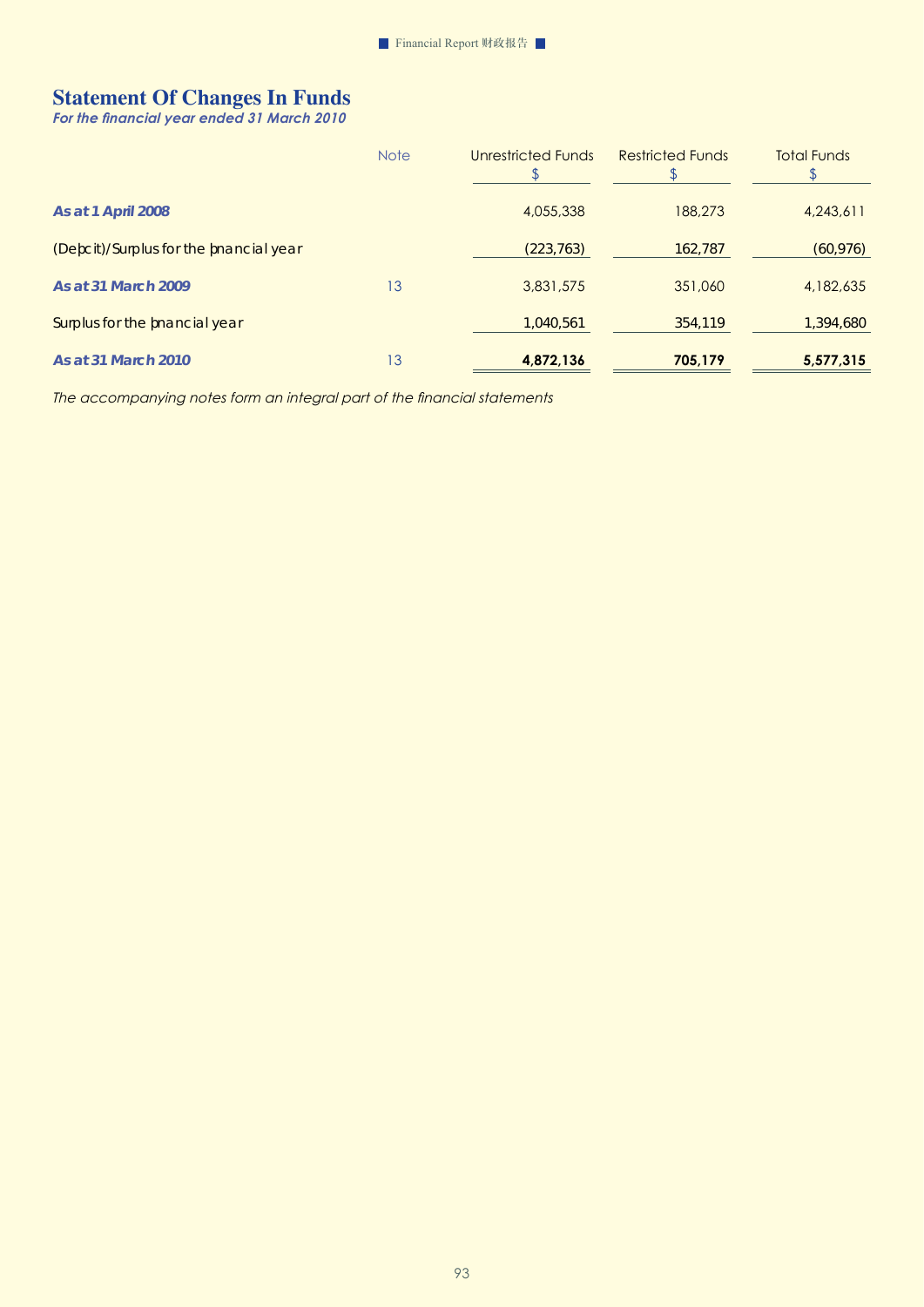# **Statement Of Changes In Funds**

*For the financial year ended 31 March 2010* 

|                                        | <b>Note</b> | Unrestricted Funds | <b>Restricted Funds</b> | <b>Total Funds</b> |
|----------------------------------------|-------------|--------------------|-------------------------|--------------------|
| <b>As at 1 April 2008</b>              |             | 4,055,338          | 188,273                 | 4,243,611          |
| (Defcit)/Surplus for the fnancial year |             | (223, 763)         | 162,787                 | (60, 976)          |
| As at 31 March 2009                    | 13          | 3,831,575          | 351,060                 | 4,182,635          |
| Surplus for the fnancial year          |             | 1,040,561          | 354,119                 | 1,394,680          |
| As at 31 March 2010                    | 13          | 4,872,136          | 705,179                 | 5,577,315          |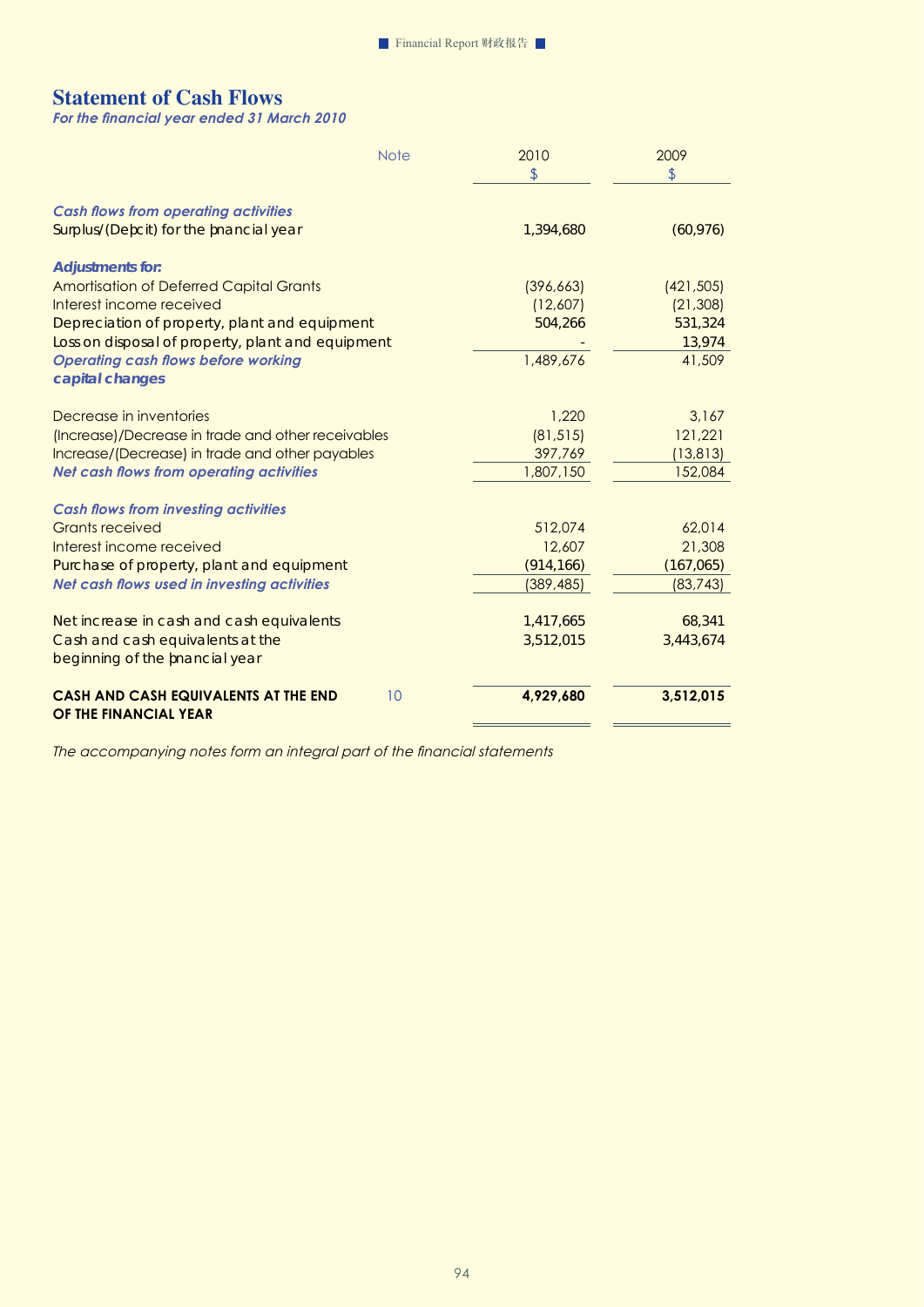# **Statement of Cash Flows**

*For the financial year ended 31 March 2010* 

|                                                                      | <b>Note</b> | 2010           | 2009       |
|----------------------------------------------------------------------|-------------|----------------|------------|
|                                                                      |             | $\mathfrak{L}$ | \$         |
| <b>Cash flows from operating activities</b>                          |             |                |            |
| Surplus/(Defcit) for the fnancial year                               |             | 1,394,680      | (60, 976)  |
| <b>Adjustments for:</b>                                              |             |                |            |
| <b>Amortisation of Deferred Capital Grants</b>                       |             | (396, 663)     | (421, 505) |
| Interest income received                                             |             | (12,607)       | (21, 308)  |
| Depreciation of property, plant and equipment                        |             | 504,266        | 531,324    |
| Loss on disposal of property, plant and equipment                    |             |                | 13,974     |
| <b>Operating cash flows before working</b>                           |             | 1,489,676      | 41,509     |
| capital changes                                                      |             |                |            |
| Decrease in inventories                                              |             | 1,220          | 3,167      |
| (Increase)/Decrease in trade and other receivables                   |             | (81, 515)      | 121,221    |
| Increase/(Decrease) in trade and other payables                      |             | 397,769        | (13, 813)  |
| <b>Net cash flows from operating activities</b>                      |             | 1,807,150      | 152,084    |
| <b>Cash flows from investing activities</b>                          |             |                |            |
| <b>Grants received</b>                                               |             | 512.074        | 62,014     |
| Interest income received                                             |             | 12,607         | 21,308     |
| Purchase of property, plant and equipment                            |             | (914, 166)     | (167,065)  |
| Net cash flows used in investing activities                          |             | (389, 485)     | (83, 743)  |
| Netincrease in cash and cash equivalents                             |             | 1,417,665      | 68,341     |
| Cash and cash equivalents at the                                     |             | 3,512,015      | 3,443,674  |
| beginning of the fnancial year                                       |             |                |            |
| <b>CASH AND CASH EQUIVALENTS AT THE END</b><br>OF THE FINANCIAL YEAR | 10          | 4,929,680      | 3,512,015  |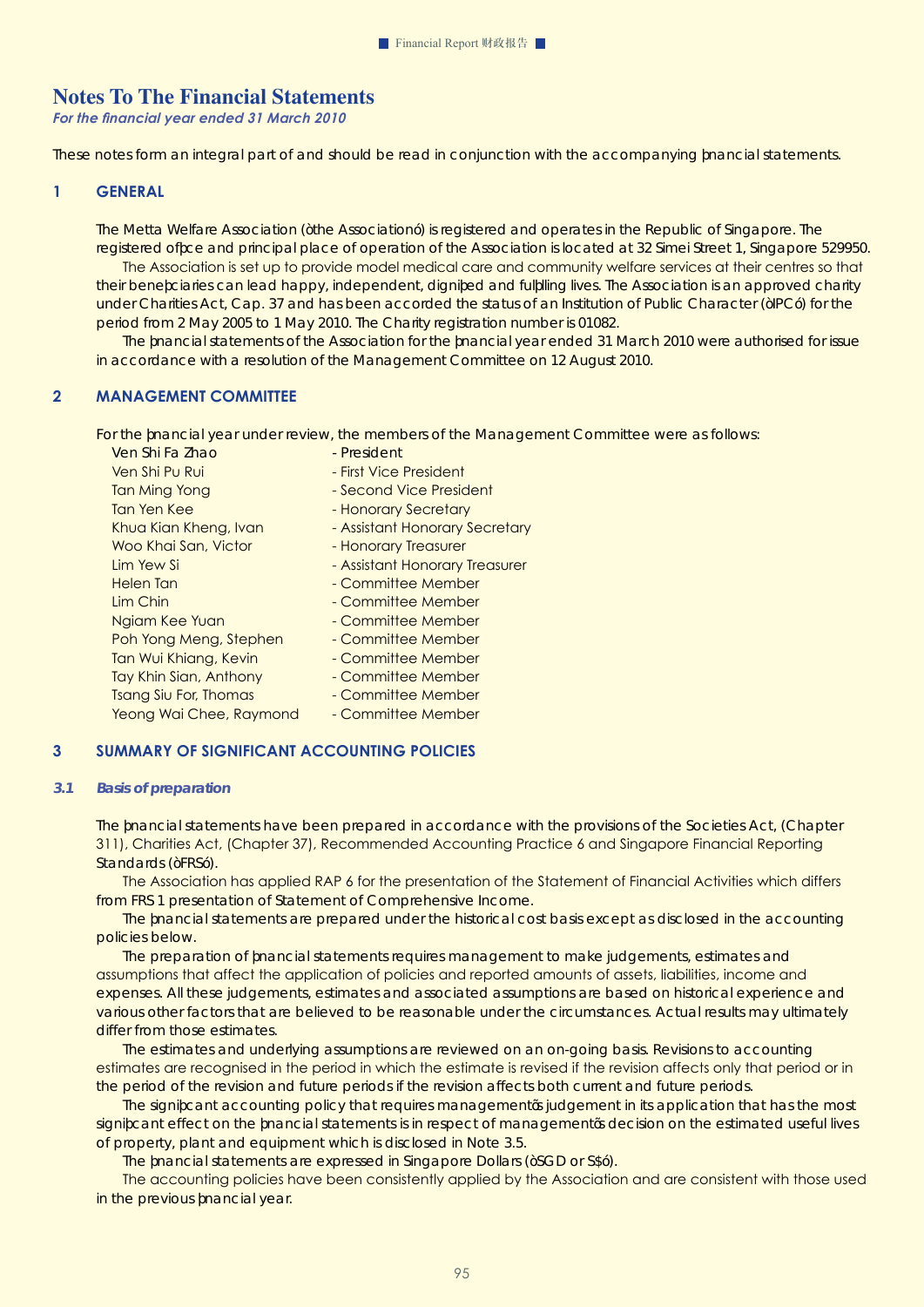# **Notes To The Financial Statements**

*For the financial year ended 31 March 2010* 

These notes form an integral part of and should be read in conjunction with the accompanying financial statements.

#### **1 GENERAL**

The Metta Welfare Association ("the Association") is registered and operates in the Republic of Singapore. The registered office and principal place of operation of the Association is located at 32 Simei Street 1, Singapore 529950.

 The Association is set up to provide model medical care and community welfare services at their centres so that their beneficiaries can lead happy, independent, dignified and fulfilling lives. The Association is an approved charity under Charities Act, Cap. 37 and has been accorded the status of an Institution of Public Character ("IPC") for the period from 2 May 2005 to 1 May 2010. The Charity registration number is 01082.

The fnancial statements of the Association for the fnancial year ended 31 March 2010 were authorised for issue in accordance with a resolution of the Management Committee on 12 August 2010.

## **2 MANAGEMENT COMMITTEE**

For the financial year under review, the members of the Management Committee were as follows:

| Ven Shi Fa Zhao              | - President                    |
|------------------------------|--------------------------------|
| Ven Shi Pu Rui               | - First Vice President         |
| Tan Ming Yong                | - Second Vice President        |
| Tan Yen Kee                  | - Honorary Secretary           |
| Khua Kian Kheng, Ivan        | - Assistant Honorary Secretary |
| Woo Khai San, Victor         | - Honorary Treasurer           |
| Lim Yew Si                   | - Assistant Honorary Treasurer |
| Helen Tan                    | - Committee Member             |
| Lim Chin                     | - Committee Member             |
| Ngiam Kee Yuan               | - Committee Member             |
| Poh Yong Meng, Stephen       | - Committee Member             |
| Tan Wui Khiang, Kevin        | - Committee Member             |
| Tay Khin Sian, Anthony       | - Committee Member             |
| <b>Tsang Siu For, Thomas</b> | - Committee Member             |
| Yeong Wai Chee, Raymond      | - Committee Member             |
|                              |                                |

## **3 SUMMARY OF SIGNIFICANT ACCOUNTING POLICIES**

#### *3.1 Basis of preparation*

The fnancial statements have been prepared in accordance with the provisions of the Societies Act, (Chapter 311), Charities Act, (Chapter 37), Recommended Accounting Practice 6 and Singapore Financial Reporting Standards ("FRS").

 The Association has applied RAP 6 for the presentation of the Statement of Financial Activities which differs from FRS 1 presentation of Statement of Comprehensive Income.

The financial statements are prepared under the historical cost basis except as disclosed in the accounting policies below.

The preparation of fnancial statements requires management to make judgements, estimates and assumptions that affect the application of policies and reported amounts of assets, liabilities, income and expenses. All these judgements, estimates and associated assumptions are based on historical experience and various other factors that are believed to be reasonable under the circumstances. Actual results may ultimately differ from those estimates.

The estimates and underlying assumptions are reviewed on an on-going basis. Revisions to accounting estimates are recognised in the period in which the estimate is revised if the revision affects only that period or in the period of the revision and future periods if the revision affects both current and future periods.

The significant accounting policy that requires management's judgement in its application that has the most significant effect on the financial statements is in respect of management's decision on the estimated useful lives of property, plant and equipment which is disclosed in Note 3.5.

The fnancial statements are expressed in Singapore Dollars ("SGD or S\$").

 The accounting policies have been consistently applied by the Association and are consistent with those used in the previous fnancial year.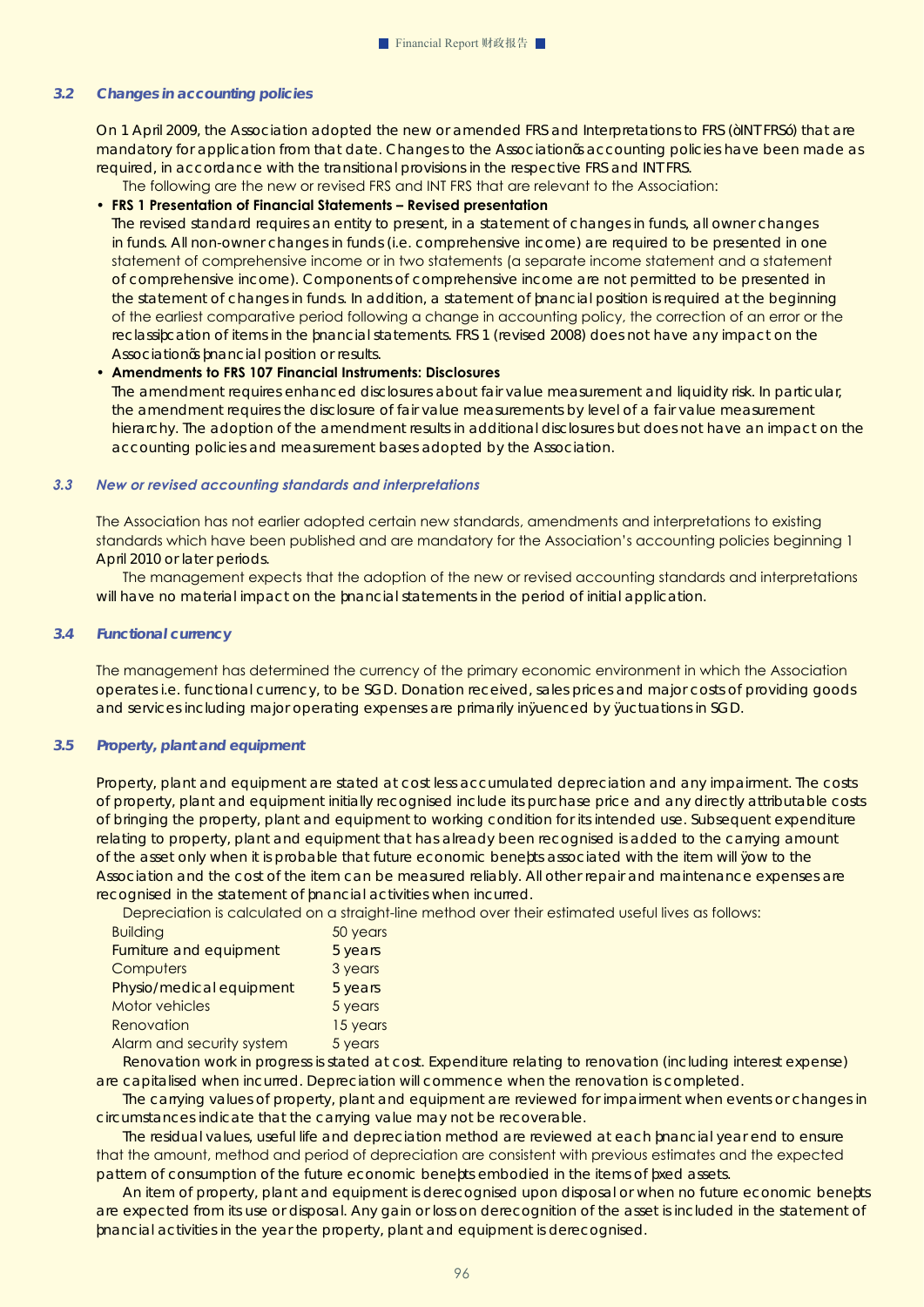#### *3.2 Changes in accounting policies*

On 1 April 2009, the Association adopted the new or amended FRS and Interpretations to FRS ("INT FRS") that are mandatory for application from that date. Changes to the Association's accounting policies have been made as required, in accordance with the transitional provisions in the respective FRS and INT FRS.

The following are the new or revised FRS and INT FRS that are relevant to the Association:

#### • **FRS 1 Presentation of Financial Statements – Revised presentation**

The revised standard requires an entity to present, in a statement of changes in funds, all owner changes in funds. All non-owner changes in funds (i.e. comprehensive income) are required to be presented in one statement of comprehensive income or in two statements (a separate income statement and a statement of comprehensive income). Components of comprehensive income are not permitted to be presented in the statement of changes in funds. In addition, a statement of financial position is required at the beginning of the earliest comparative period following a change in accounting policy, the correction of an error or the reclassification of items in the financial statements. FRS 1 (revised 2008) does not have any impact on the Association's financial position or results.

#### • **Amendments to FRS 107 Financial Instruments: Disclosures**

The amendment requires enhanced disclosures about fair value measurement and liquidity risk. In particular, the amendment requires the disclosure of fair value measurements by level of a fair value measurement hierarchy. The adoption of the amendment results in additional disclosures but does not have an impact on the accounting policies and measurement bases adopted by the Association.

#### *3.3 New or revised accounting standards and interpretations*

The Association has not earlier adopted certain new standards, amendments and interpretations to existing standards which have been published and are mandatory for the Association's accounting policies beginning 1 April 2010 or later periods.

 The management expects that the adoption of the new or revised accounting standards and interpretations will have no material impact on the financial statements in the period of initial application.

#### *3.4 Functional currency*

The management has determined the currency of the primary economic environment in which the Association operates i.e. functional currency, to be SGD. Donation received, sales prices and major costs of providing goods and services including major operating expenses are primarily influenced by fluctuations in SGD.

#### *3.5 Property, plant and equipment*

Property, plant and equipment are stated at cost less accumulated depreciation and any impairment. The costs of property, plant and equipment initially recognised include its purchase price and any directly attributable costs of bringing the property, plant and equipment to working condition for its intended use. Subsequent expenditure relating to property, plant and equipment that has already been recognised is added to the carrying amount of the asset only when it is probable that future economic benefits associated with the item will fow to the Association and the cost of the item can be measured reliably. All other repair and maintenance expenses are recognised in the statement of financial activities when incurred.

Depreciation is calculated on a straight-line method over their estimated useful lives as follows:

| <b>Building</b>           | 50 years |
|---------------------------|----------|
| Furniture and equipment   | 5 years  |
| Computers                 | 3 years  |
| Physio/medicalequipment   | 5 years  |
| <b>Motor vehicles</b>     | 5 years  |
| Renovation                | 15 years |
| Alarm and security system | 5 years  |

Renovation work in progress is stated at cost. Expenditure relating to renovation (including interest expense) are capitalised when incurred. Depreciation will commence when the renovation is completed.

The carrying values of property, plant and equipment are reviewed for impairment when events or changes in circumstances indicate that the carrying value may not be recoverable.

The residual values, useful life and depreciation method are reviewed at each financial year end to ensure that the amount, method and period of depreciation are consistent with previous estimates and the expected pattern of consumption of the future economic benefts embodied in the items of fxed assets.

An item of property, plant and equipment is derecognised upon disposal or when no future economic benefits are expected from its use or disposal. Any gain or loss on derecognition of the asset is included in the statement of fnancial activities in the year the property, plant and equipment is derecognised.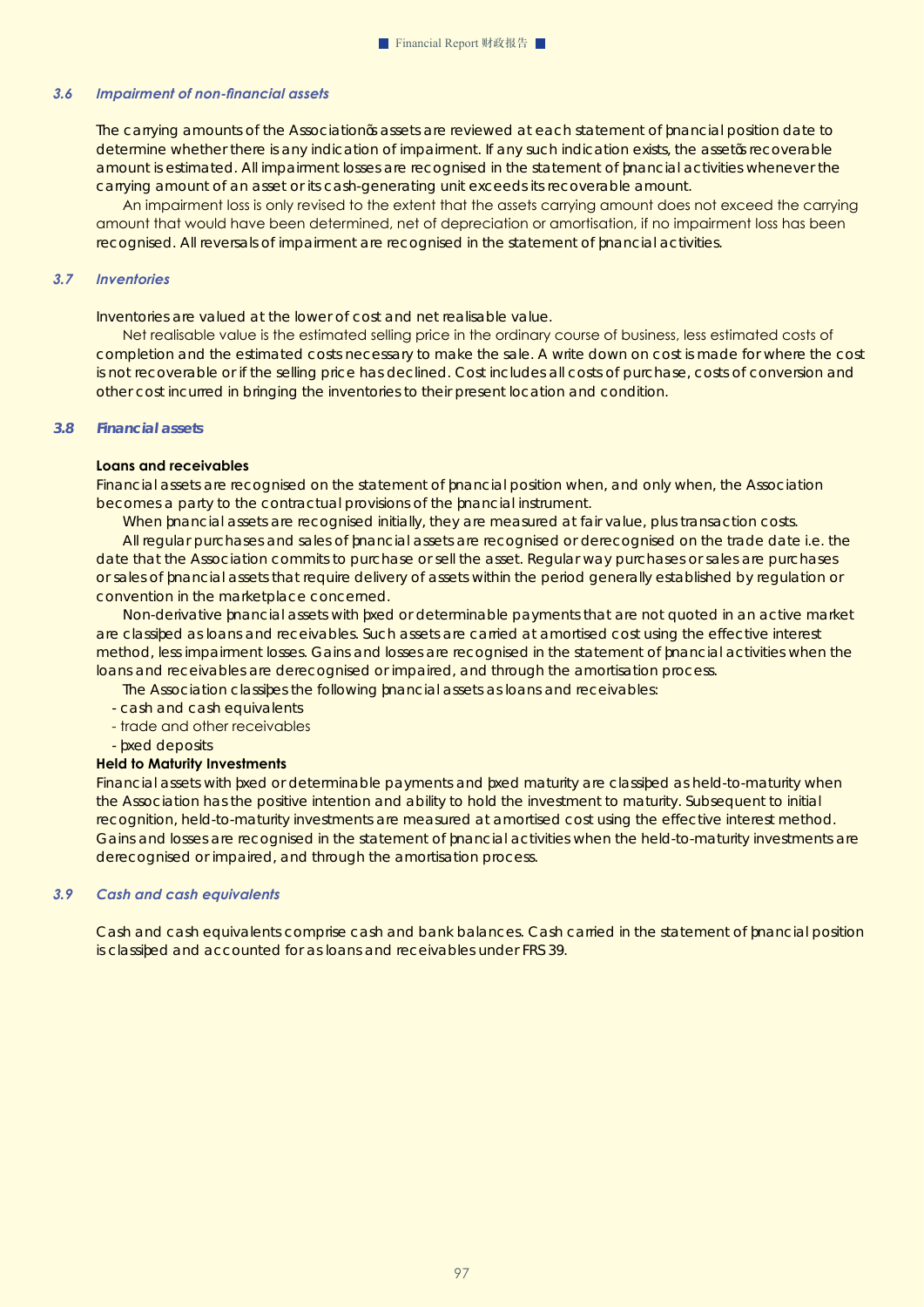#### *3.6 Impairment of non-financial assets*

The carrying amounts of the Association's assets are reviewed at each statement of financial position date to determine whether there is any indication of impairment. If any such indication exists, the asset's recoverable amount is estimated. All impairment losses are recognised in the statement of financial activities whenever the carrying amount of an asset or its cash-generating unit exceeds its recoverable amount.

 An impairment loss is only revised to the extent that the assets carrying amount does not exceed the carrying amount that would have been determined, net of depreciation or amortisation, if no impairment loss has been recognised. All reversals of impairment are recognised in the statement of fnancial activities.

#### *3.7 Inventories*

Inventories are valued at the lower of cost and net realisable value.

 Net realisable value is the estimated selling price in the ordinary course of business, less estimated costs of completion and the estimated costs necessary to make the sale. A write down on cost is made for where the cost is not recoverable or if the selling price has declined. Cost includes all costs of purchase, costs of conversion and other cost incurred in bringing the inventories to their present location and condition.

#### *3.8 Financial assets*

#### **Loans and receivables**

Financial assets are recognised on the statement of fnancial position when, and only when, the Association becomes a party to the contractual provisions of the financial instrument.

When financial assets are recognised initially, they are measured at fair value, plus transaction costs.

All regular purchases and sales of financial assets are recognised or derecognised on the trade date i.e. the date that the Association commits to purchase or sell the asset. Regular way purchases or sales are purchases or sales of financial assets that require delivery of assets within the period generally established by regulation or convention in the marketplace concerned.

Non-derivative fnancial assets with fxed or determinable payments that are not quoted in an active market are classified as loans and receivables. Such assets are carried at amortised cost using the effective interest method, less impairment losses. Gains and losses are recognised in the statement of financial activities when the loans and receivables are derecognised or impaired, and through the amortisation process.

The  $A$  ssociation classifes the following financial assets as loans and receivables:

- cash and cash equivalents
- trade and other receivables
- fixed deposits

#### **Held to Maturity Investments**

Financial assets with fxed or determinable payments and fxed maturity are classifed as held-to-maturity when the Association has the positive intention and ability to hold the investment to maturity. Subsequent to initial recognition, held-to-maturity investments are measured at amortised cost using the effective interest method. Gains and losses are recognised in the statement of financial activities when the held-to-maturity investments are derecognised or impaired, and through the amortisation process.

#### *3.9 Cash and cash equivalents*

Cash and cash equivalents comprise cash and bank balances. Cash carried in the statement of financial position is classified and accounted for as loans and receivables under FRS 39.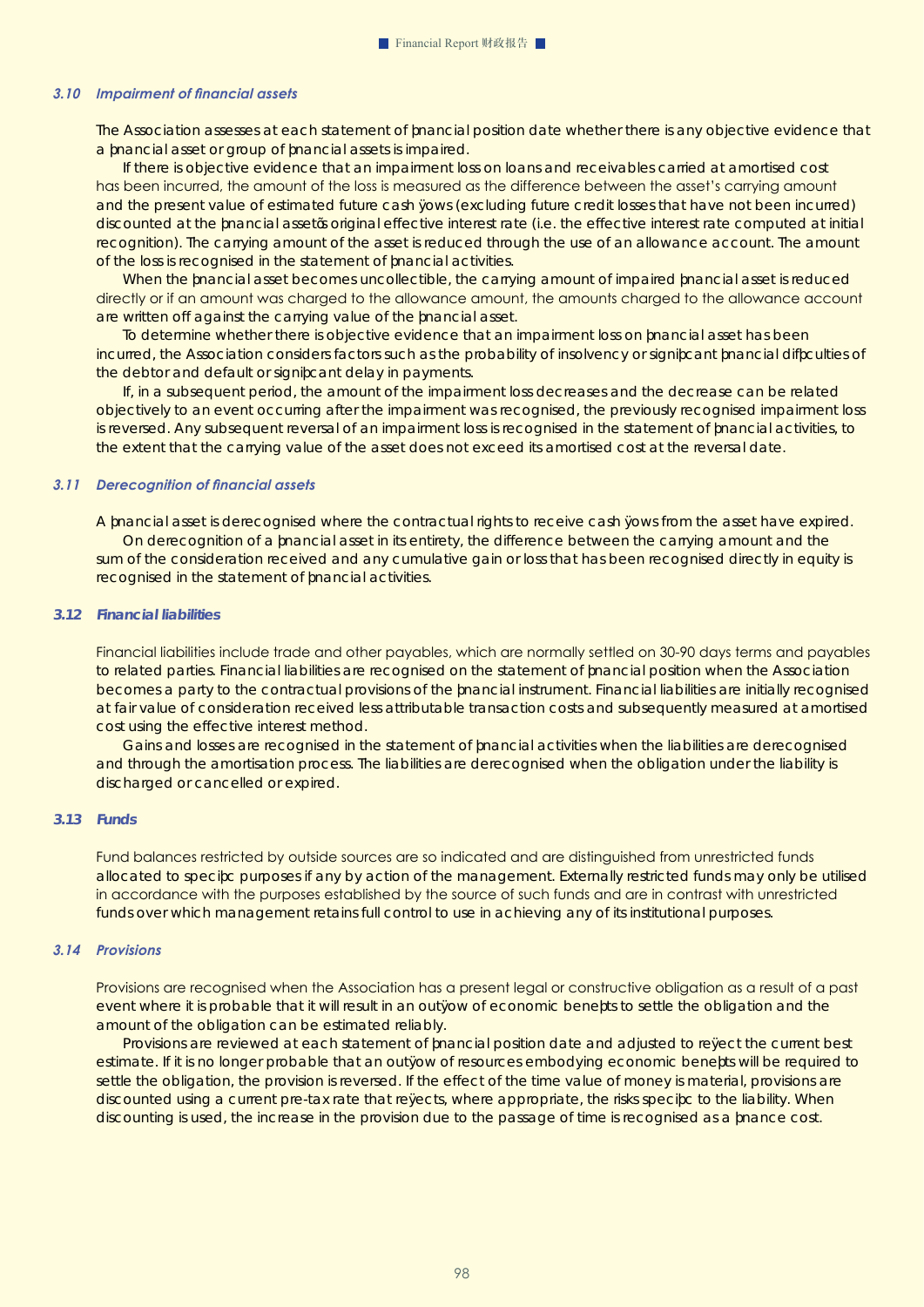#### *3.10 Impairment of financial assets*

The Association assesses at each statement of financial position date whether there is any objective evidence that a financial asset or group of financial assets is impaired.

If there is objective evidence that an impairment loss on loans and receivables carried at amortised cost has been incurred, the amount of the loss is measured as the difference between the asset's carrying amount and the present value of estimated future cash fows (excluding future credit losses that have not been incurred) discounted at the financial asset's original effective interest rate (i.e. the effective interest rate computed at initial recognition). The carrying amount of the asset is reduced through the use of an allowance account. The amount of the loss is recognised in the statement of fnancial activities.

When the fnancial asset becomes uncollectible, the carrying amount of impaired fnancial asset is reduced directly or if an amount was charged to the allowance amount, the amounts charged to the allowance account are written off against the carrying value of the financial asset.

To determine whether there is objective evidence that an impairment loss on financial asset has been incurred, the Association considers factors such as the probability of insolvency or significant financial difficulties of the debtor and default or significant delay in payments.

If, in a subsequent period, the amount of the impairment loss decreases and the decrease can be related objectively to an event occurring after the impairment was recognised, the previously recognised impairment loss is reversed. Any subsequent reversal of an impairment loss is recognised in the statement of fnancial activities, to the extent that the carrying value of the asset does not exceed its amortised cost at the reversal date.

#### *3.11 Derecognition of financial assets*

A financial asset is derecognised where the contractual rights to receive cash fows from the asset have expired. On derecognition of a fnancial asset in its entirety, the difference between the carrying amount and the sum of the consideration received and any cumulative gain or loss that has been recognised directly in equity is recognised in the statement of financial activities.

#### *3.12 Financial liabilities*

Financial liabilities include trade and other payables, which are normally settled on 30-90 days terms and payables to related parties. Financial liabilities are recognised on the statement of fnancial position when the Association becomes a party to the contractual provisions of the fnancial instrument. Financial liabilities are initially recognised at fair value of consideration received less attributable transaction costs and subsequently measured at amortised cost using the effective interest method.

Gains and losses are recognised in the statement of financial activities when the liabilities are derecognised and through the amortisation process. The liabilities are derecognised when the obligation under the liability is discharged or cancelled or expired.

#### *3.13 Funds*

Fund balances restricted by outside sources are so indicated and are distinguished from unrestricted funds allocated to specific purposes if any by action of the management. Externally restricted funds may only be utilised in accordance with the purposes established by the source of such funds and are in contrast with unrestricted funds over which management retains full control to use in achieving any of its institutional purposes.

#### *3.14 Provisions*

Provisions are recognised when the Association has a present legal or constructive obligation as a result of a past event where it is probable that it will result in an outfow of economic benefts to settle the obligation and the amount of the obligation can be estimated reliably.

Provisions are reviewed at each statement of financial position date and adjusted to refect the current best estimate. If it is no longer probable that an outfow of resources embodying economic benefts will be required to settle the obligation, the provision is reversed. If the effect of the time value of money is material, provisions are discounted using a current pre-tax rate that refects, where appropriate, the risks specifc to the liability. When discounting is used, the increase in the provision due to the passage of time is recognised as a finance cost.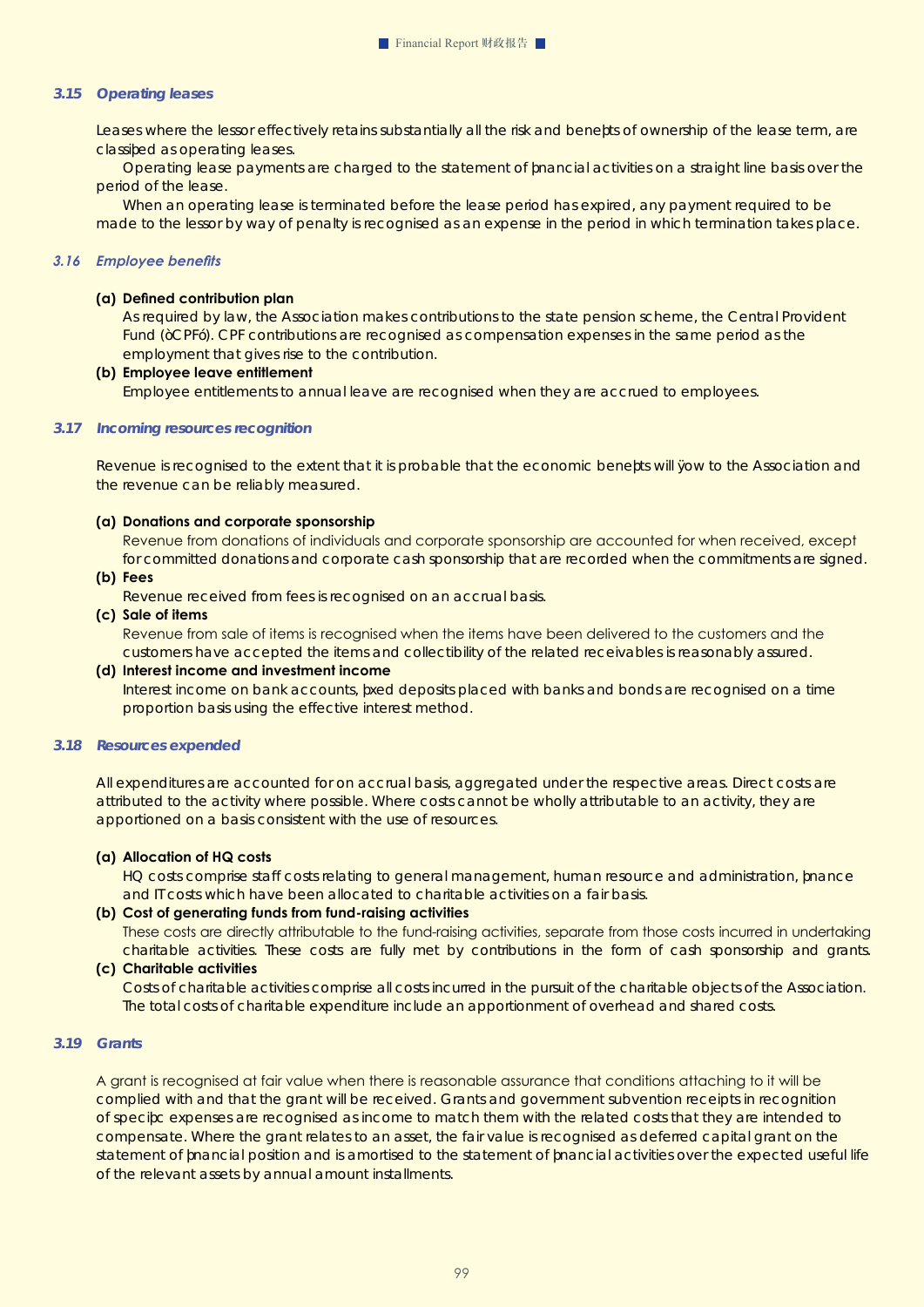#### *3.15 Operating leases*

Leases where the lessor effectively retains substantially all the risk and benefts of ownership of the lease term, are classified as operating leases.

Operating lease payments are charged to the statement of financial activities on a straight line basis over the period of the lease.

When an operating lease is terminated before the lease period has expired, any payment required to be made to the lessor by way of penalty is recognised as an expense in the period in which termination takes place.

#### *3.16 Employee benefits*

#### **(a) Defined contribution plan**

As required by law, the Association makes contributions to the state pension scheme, the Central Provident Fund ("CPF"). CPF contributions are recognised as compensation expenses in the same period as the employment that gives rise to the contribution.

#### **(b) Employee leave entitlement**

Employee entitlements to annual leave are recognised when they are accrued to employees.

#### *3.17 Incoming resources recognition*

Revenue is recognised to the extent that it is probable that the economic benefts will fow to the Association and the revenue can be reliably measured.

#### **(a) Donations and corporate sponsorship**

 Revenue from donations of individuals and corporate sponsorship are accounted for when received, except for committed donations and corporate cash sponsorship that are recorded when the commitments are signed.

#### **(b) Fees**

Revenue received from fees is recognised on an accrual basis.

#### **(c) Sale of items**

 Revenue from sale of items is recognised when the items have been delivered to the customers and the customers have accepted the items and collectibility of the related receivables is reasonably assured.

#### **(d) Interest income and investment income**

Interest income on bank accounts, fxed deposits placed with banks and bonds are recognised on a time proportion basis using the effective interest method.

#### *3.18 Resources expended*

All expenditures are accounted for on accrual basis, aggregated under the respective areas. Direct costs are attributed to the activity where possible. Where costs cannot be wholly attributable to an activity, they are apportioned on a basis consistent with the use of resources.

#### **(a) Allocation of HQ costs**

HQ costs comprise staff costs relating to general management, human resource and administration, finance and IT costs which have been allocated to charitable activities on a fair basis.

#### **(b) Cost of generating funds from fund-raising activities**

 These costs are directly attributable to the fund-raising activities, separate from those costs incurred in undertaking charitable activities. These costs are fully met by contributions in the form of cash sponsorship and grants.

#### **(c) Charitable activities**

Costs of charitable activities comprise all costs incurred in the pursuit of the charitable objects of the Association. The total costs of charitable expenditure include an apportionment of overhead and shared costs.

#### *3.19 Grants*

A grant is recognised at fair value when there is reasonable assurance that conditions attaching to it will be complied with and that the grant will be received. Grants and government subvention receipts in recognition of specific expenses are recognised as income to match them with the related costs that they are intended to compensate. Where the grant relates to an asset, the fair value is recognised as deferred capital grant on the statement of fnancial position and is amortised to the statement of fnancial activities over the expected useful life of the relevant assets by annual amount installments.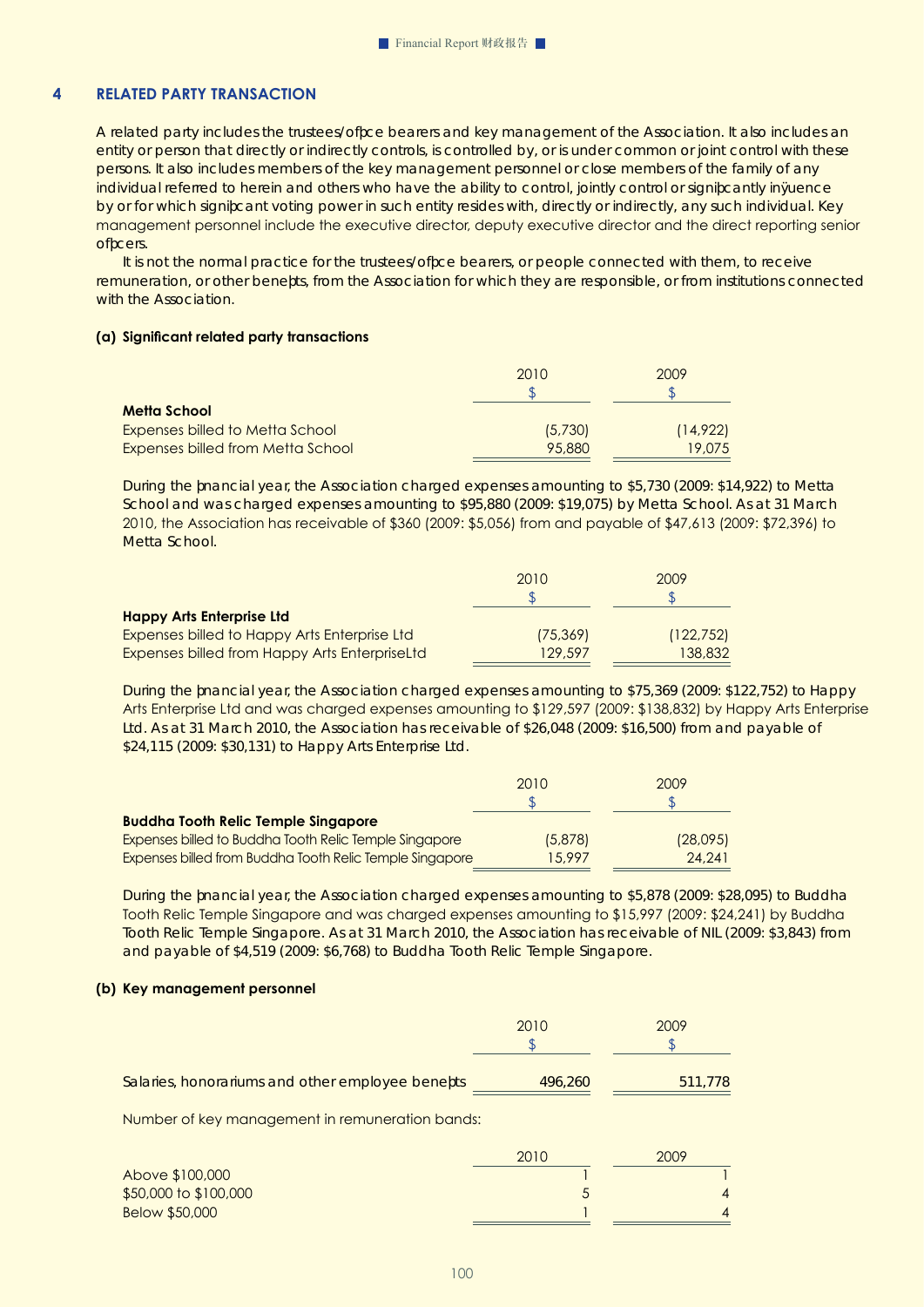# **4 RELATED PARTY TRANSACTION**

A related party includes the trustees/office bearers and key management of the Association. It also includes an entity or person that directly or indirectly controls, is controlled by, or is under common or joint control with these persons. It also includes members of the key management personnel or close members of the family of any individual referred to herein and others who have the ability to control, jointly control or significantly influence by or for which significant voting power in such entity resides with, directly or indirectly, any such individual. Key management personnel include the executive director, deputy executive director and the direct reporting senior officers.

It is not the normal practice for the trustees/office bearers, or people connected with them, to receive remuneration, or other benefits, from the Association for which they are responsible, or from institutions connected with the Association.

#### **(a) Significant related party transactions**

|                                        | 2010    | 2009     |
|----------------------------------------|---------|----------|
|                                        |         |          |
| Metta School                           |         |          |
| <b>Expenses billed to Metta School</b> | (5,730) | (14,922) |
| Expenses billed from Metta School      | 95,880  | 19,075   |

During the financial year, the Association charged expenses amounting to \$5,730 (2009: \$14,922) to Metta School and was charged expenses amounting to \$95,880 (2009: \$19,075) by Metta School. As at 31 March 2010, the Association has receivable of \$360 (2009: \$5,056) from and payable of \$47,613 (2009: \$72,396) to Metta School.

|                                                      | 2010      | 2009       |
|------------------------------------------------------|-----------|------------|
|                                                      |           |            |
| <b>Happy Arts Enterprise Ltd</b>                     |           |            |
| Expenses billed to Happy Arts Enterprise Ltd         | (75, 369) | (122, 752) |
| <b>Expenses billed from Happy Arts EnterpriseLtd</b> | 129.597   | 138,832    |

During the financial year, the Association charged expenses amounting to \$75,369 (2009: \$122,752) to Happy Arts Enterprise Ltd and was charged expenses amounting to \$129,597 (2009: \$138,832) by Happy Arts Enterprise Ltd. As at 31 March 2010, the Association has receivable of \$26,048 (2009: \$16,500) from and payable of \$24,115 (2009: \$30,131) to Happy Arts Enterprise Ltd.

|                                                          | 2010    | 2009     |
|----------------------------------------------------------|---------|----------|
|                                                          |         |          |
| <b>Buddha Tooth Relic Temple Singapore</b>               |         |          |
| Expenses billed to Buddha Tooth Relic Temple Singapore   | (5,878) | (28,095) |
| Expenses billed from Buddha Tooth Relic Temple Singapore | 15.997  | 24.241   |

During the financial year, the Association charged expenses amounting to \$5,878 (2009: \$28,095) to Buddha Tooth Relic Temple Singapore and was charged expenses amounting to \$15,997 (2009: \$24,241) by Buddha Tooth Relic Temple Singapore. As at 31 March 2010, the Association has receivable of NIL (2009: \$3,843) from and payable of \$4,519 (2009: \$6,768) to Buddha Tooth Relic Temple Singapore.

#### **(b) Key management personnel**

|                                                  | 2010    | 2009    |
|--------------------------------------------------|---------|---------|
| Salaries, honorariums and other employee benefts | 496,260 | 511,778 |

Number of key management in remuneration bands:

|                       | 2010 | 2009 |
|-----------------------|------|------|
| Above \$100,000       |      |      |
| \$50,000 to \$100,000 |      |      |
| Below \$50,000        |      |      |
|                       |      |      |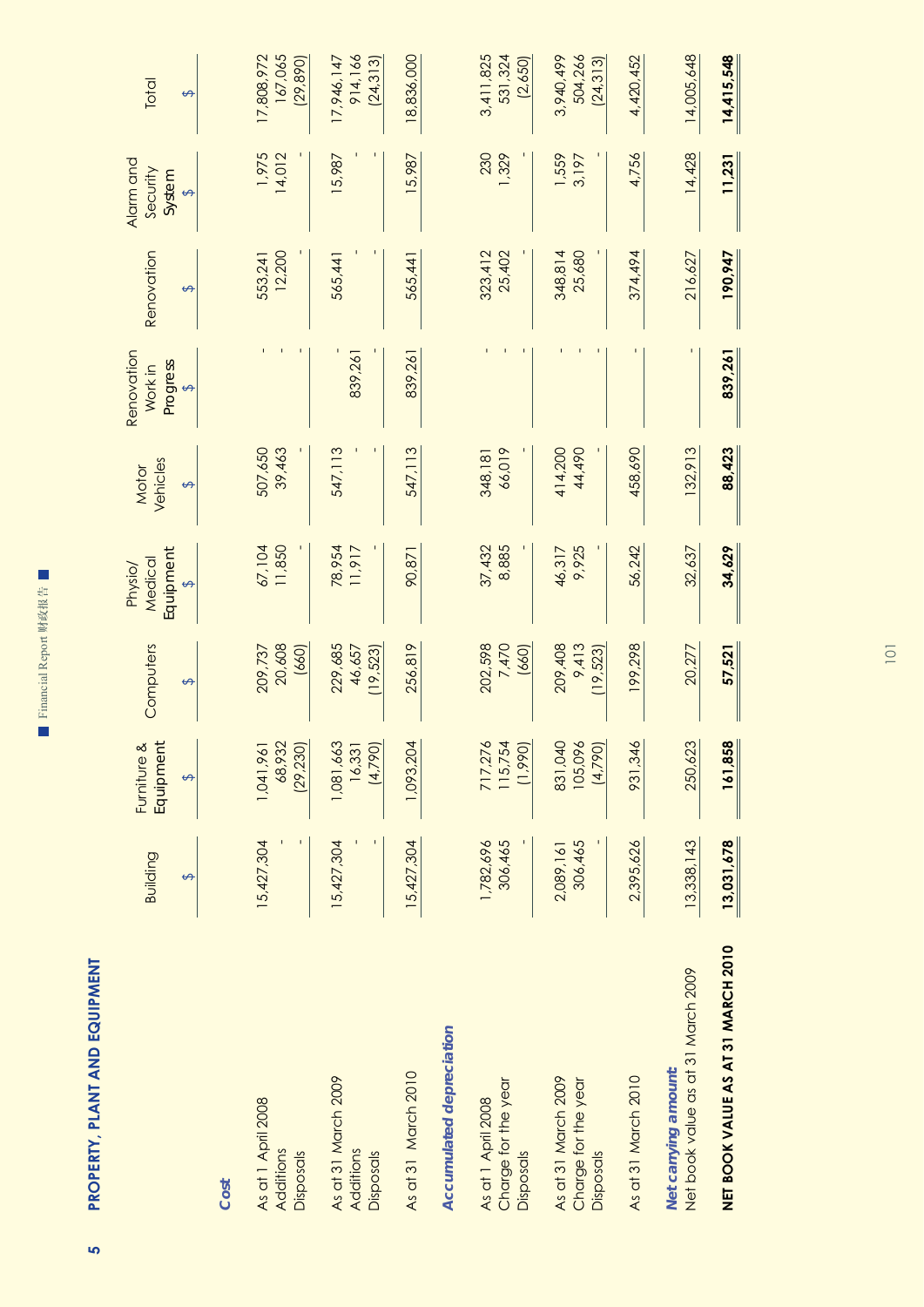| ď<br>i<br>۰<br>٠<br>÷<br>۱<br>۱<br>崖 |
|--------------------------------------|
| ×<br>i                               |
| ٠<br>٠<br>٠<br>–                     |
|                                      |

 $\overline{\phantom{a}}$ 

**PROPERTY, PLANT AND EQUIPMENT 5 PROPERTY, PLANT AND EQUIPMENT** <mark>ს</mark>

|                                                            | Building<br>↔        | Furniture &<br>Equipment<br>↮    | Computers<br>$\leftrightarrow$ | Iquipment<br>Medical<br>Physio/<br>$\leftrightarrow$ | Vehicles<br>Motor<br>↮ | Renovation<br>Progress<br>Work in<br>$\leftrightarrow$ | Renovation<br>$\Theta$ | Alarm and<br>Security<br>System<br>$\leftrightarrow$ | Total<br>$\leftrightarrow$         |
|------------------------------------------------------------|----------------------|----------------------------------|--------------------------------|------------------------------------------------------|------------------------|--------------------------------------------------------|------------------------|------------------------------------------------------|------------------------------------|
| Cost                                                       |                      |                                  |                                |                                                      |                        |                                                        |                        |                                                      |                                    |
| As at 1 April 2008<br>Additions<br>Disposals               | 15,427,304           | 1,041,961<br>68,932<br>(29, 230) | 20,608<br>(660)<br>209,737     | 11,850<br>67,104                                     | 507,650<br>39,463      |                                                        | 12,200<br>553,241      | 1,975<br>14,012                                      | 167,065<br>17,808,972<br>(29, 890) |
| As at 31 March 2009<br>Additions<br>Disposals              | 15,427,304           | 1,081,663<br>16,331<br>(4,790)   | 229,685<br>46,657<br>(19, 523) | 78,954<br>11,917                                     | 547, 113               | 839,261                                                | 565,441                | 15,987                                               | 914,166<br>17,946,147<br>(24, 313) |
| As at 31 March 2010                                        | 15,427,304           | 1,093,204                        | 256,819                        | 90,871                                               | 547, 113               | 839,261                                                | 565,441                | 15,987                                               | 18,836,000                         |
| Accumulated depreciation                                   |                      |                                  |                                |                                                      |                        |                                                        |                        |                                                      |                                    |
| Charge for the year<br>As at 1 April 2008<br>Disposals     | 306,465<br>1,782,696 | 717,276<br>115,754<br>(1,990)    | 202,598<br>7,470<br>(660)      | 37,432<br>8,885                                      | 66,019<br>348, 181     |                                                        | 323,412<br>25,402      | 230<br>1,329                                         | 3,411,825<br>531,324<br>(2,650)    |
| As at 31 March 2009<br>Charge for the year<br>Disposals    | 306,465<br>2,089,161 | 831,040<br>105,096<br>(4,790)    | 209,408<br>9,413<br>(19, 523)  | 9,925<br>46,317                                      | 414,200<br>44,490      |                                                        | 348,814<br>25,680      | 1,559<br>3,197                                       | 504,266<br>3,940,499<br>(24, 313)  |
| As at 31 March 2010                                        | 2,395,626            | 931,346                          | 199,298                        | 56,242                                               | 458,690                |                                                        | 374,494                | 4,756                                                | 4,420,452                          |
| Net book value as at 31 March 2009<br>Net carrying amount: | 13,338,143           | 250,623                          | 20,277                         | 32,637                                               | 132,913                |                                                        | 216,627                | 14,428                                               | 14,005,648                         |
| NET BOOK VALUE AS AT 31 MARCH 2010                         | 13,031,678           | 161,858                          | 57,521                         | 34,629                                               | 88,423                 | 839,261                                                | 190,947                | 11,231                                               | 14,415,548                         |

101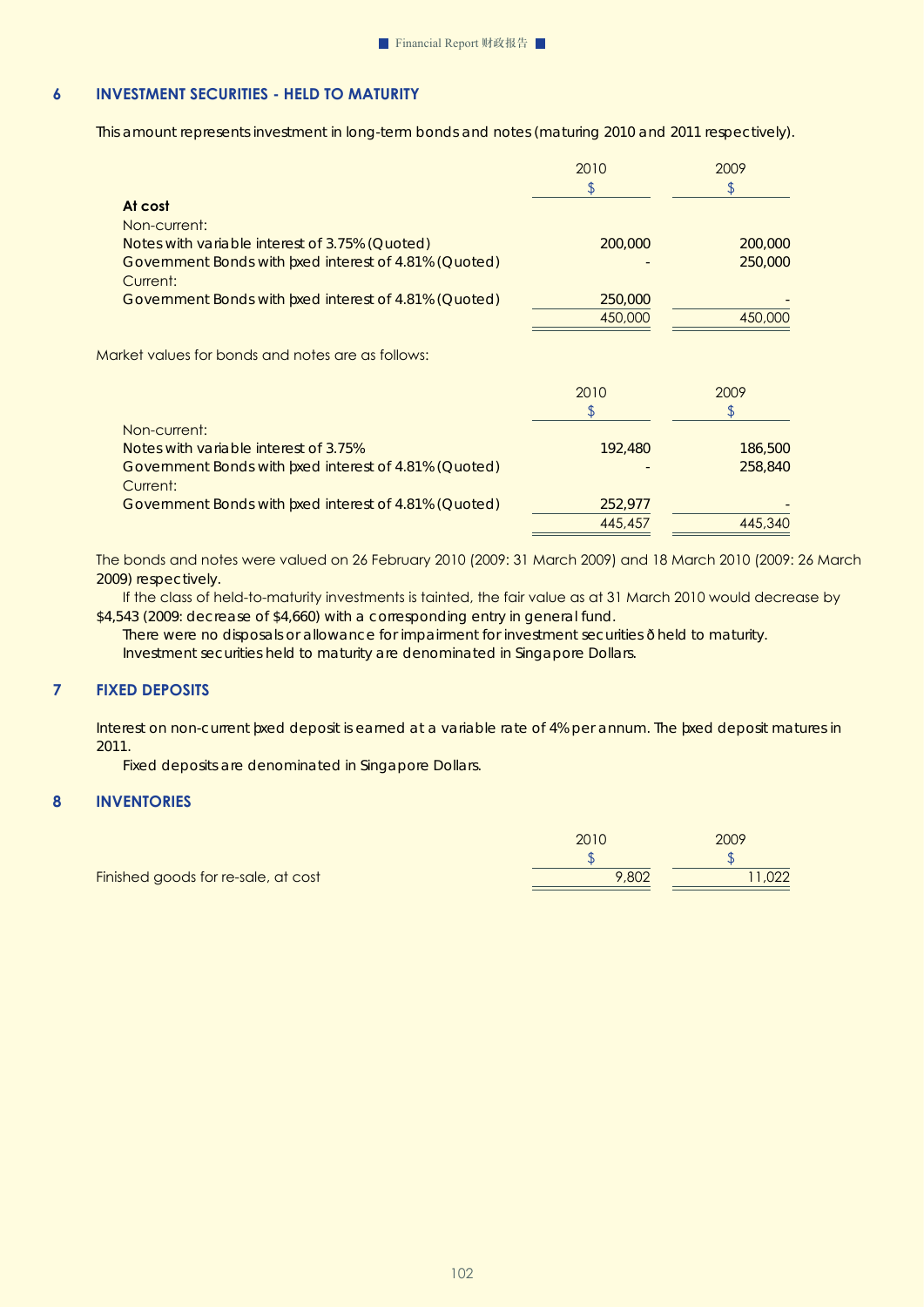# **6 INVESTMENT SECURITIES - Held to maturity**

This amount represents investment in long-term bonds and notes (maturing 2010 and 2011 respectively).

|                                                                  | 2010    | 2009    |
|------------------------------------------------------------------|---------|---------|
| At cost                                                          |         |         |
| Non-current:                                                     |         |         |
| Notes with variable interest of 3.75% (Quoted)                   | 200,000 | 200,000 |
| Govemment Bonds with fxed interest of 4.81% (Quoted)<br>Current: |         | 250,000 |
| Govemment Bonds with fxed interest of 4.81% (Quoted)             | 250,000 |         |
|                                                                  | 450,000 | 450,000 |
| Market values for bonds and notes are as follows:                |         |         |
|                                                                  | 2010    | 2009    |
|                                                                  | S       | \$      |
|                                                                  |         |         |
| Non-current:                                                     |         |         |
| Notes with yariable interest of 3.75%                            | 192,480 | 186,500 |
| Govemment Bonds with fxed interest of 4.81% (Quoted)<br>Current: |         | 258,840 |
| Govemment Bonds with fxed interest of 4.81% (Quoted)             | 252,977 |         |

The bonds and notes were valued on 26 February 2010 (2009: 31 March 2009) and 18 March 2010 (2009: 26 March 2009) respectively.

 If the class of held-to-maturity investments is tainted, the fair value as at 31 March 2010 would decrease by \$4,543 (2009: decrease of \$4,660) with a corresponding entry in general fund.

There were no disposals or allowance for impairment for investment securities - held to maturity. Investment securities held to maturity are denominated in Singapore Dollars.

# **7 FIXED DEPOSITS**

Interest on non-current fxed deposit is earned at a variable rate of 4% per annum. The fxed deposit matures in 2011.

Fixed deposits are denominated in Singapore Dollars.

#### **8 INVENTORIES**

|       | 2009 |
|-------|------|
|       |      |
| 9,802 | ,UZZ |
|       |      |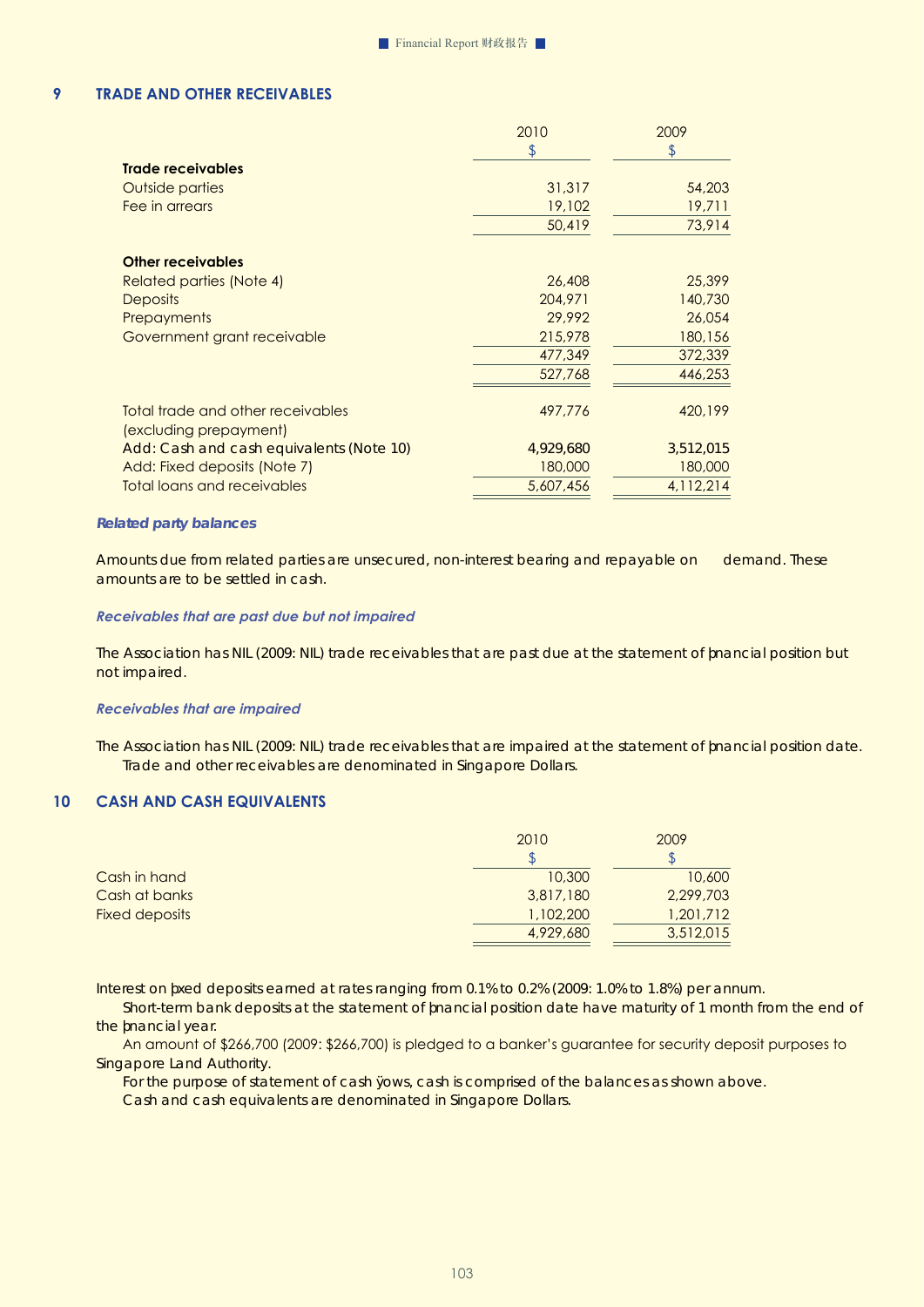## **9 TRADE AND OTHER RECEIVABLES**

|                                                             | 2010      | 2009      |
|-------------------------------------------------------------|-----------|-----------|
|                                                             | \$        | \$        |
| <b>Trade receivables</b>                                    |           |           |
| Outside parties                                             | 31,317    | 54,203    |
| Fee in arrears                                              | 19,102    | 19,711    |
|                                                             | 50,419    | 73,914    |
| <b>Other receivables</b>                                    |           |           |
| Related parties (Note 4)                                    | 26,408    | 25,399    |
| <b>Deposits</b>                                             | 204,971   | 140,730   |
| Prepayments                                                 | 29,992    | 26,054    |
| Government grant receivable                                 | 215,978   | 180,156   |
|                                                             | 477,349   | 372,339   |
|                                                             | 527,768   | 446,253   |
| Total trade and other receivables<br>(excluding prepayment) | 497,776   | 420,199   |
| Add: Cash and cash equivalents (Note 10)                    | 4,929,680 | 3,512,015 |
| Add: Fixed deposits (Note 7)                                | 180,000   | 180,000   |
| Total loans and receivables                                 | 5,607,456 | 4,112,214 |
|                                                             |           |           |

#### *Related party balances*

Amounts due from related parties are unsecured, non-interest bearing and repayable on demand. These amounts are to be settled in cash.

#### *Receivables that are past due but not impaired*

The Association has NIL (2009: NIL) trade receivables that are past due at the statement of fnancial position but not impaired.

#### *Receivables that are impaired*

The Association has NIL (2009: NIL) trade receivables that are impaired at the statement of financial position date. Trade and other receivables are denominated in Singapore Dollars.

#### **10 CASH AND CASH EQUIVALENTS**

| 2010      | 2009      |
|-----------|-----------|
|           |           |
| 10,300    | 10,600    |
| 3,817,180 | 2,299,703 |
| 1,102,200 | 1,201,712 |
| 4,929,680 | 3,512,015 |
|           |           |

Interest on fixed deposits earned at rates ranging from 0.1% to 0.2% (2009: 1.0% to 1.8%) per annum.

Short-term bank deposits at the statement of fnancial position date have maturity of 1 month from the end of the fnancial year.

 An amount of \$266,700 (2009: \$266,700) is pledged to a banker's guarantee for security deposit purposes to Singapore Land Authority.

For the purpose of statement of cash fows, cash is comprised of the balances as shown above.

Cash and cash equivalents are denominated in Singapore Dollars.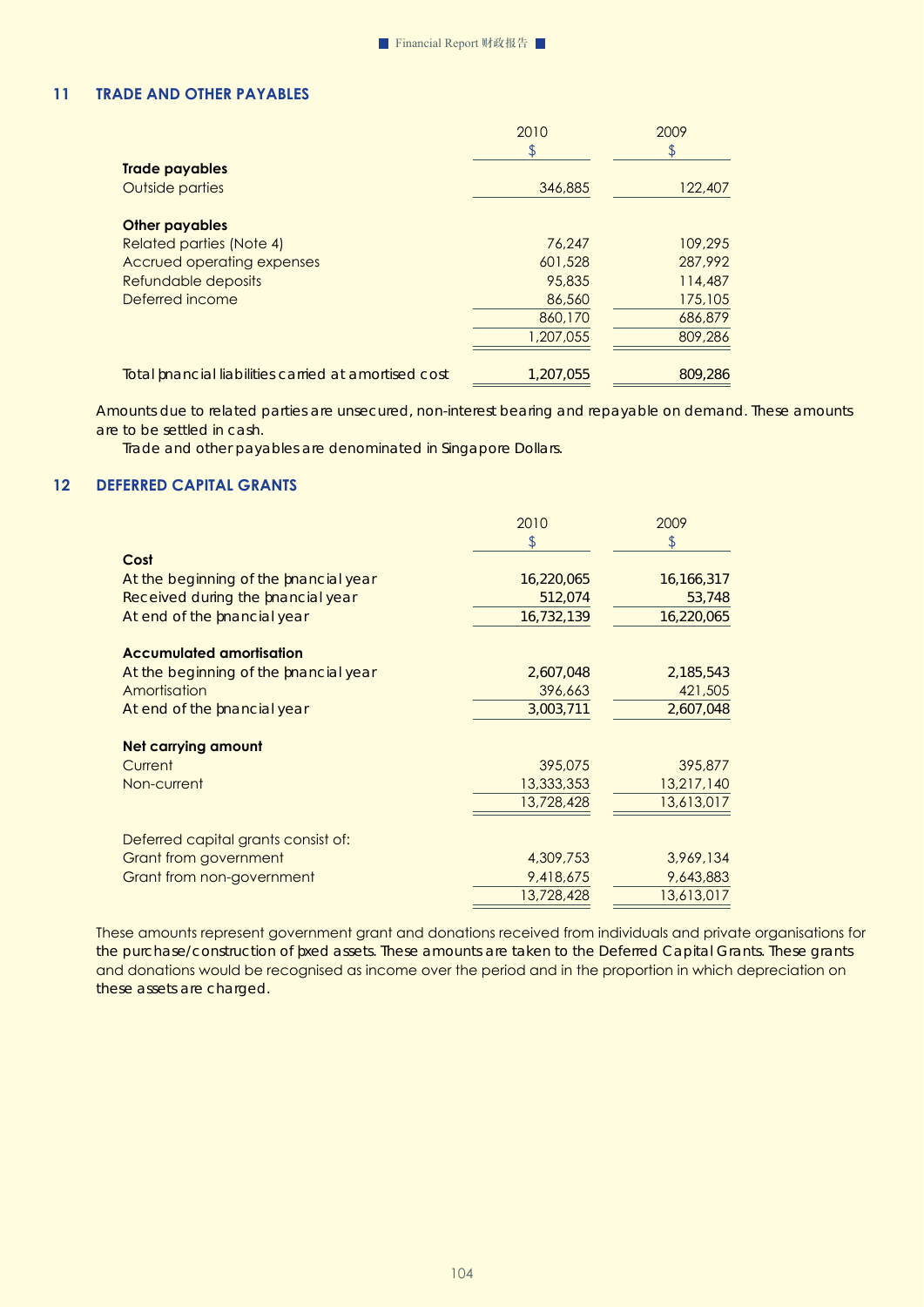# **11 TRADE AND OTHER PAYABLES**

|                                                        | 2010<br>\$ | 2009<br>\$ |
|--------------------------------------------------------|------------|------------|
| <b>Trade payables</b><br>Outside parties               | 346,885    | 122,407    |
|                                                        |            |            |
| <b>Other payables</b>                                  |            |            |
| Related parties (Note 4)                               | 76,247     | 109,295    |
| Accrued operating expenses                             | 601,528    | 287.992    |
| Refundable deposits                                    | 95,835     | 114,487    |
| Deferred income                                        | 86,560     | 175,105    |
|                                                        | 860,170    | 686,879    |
|                                                        | 1,207,055  | 809,286    |
| To tal f nancial liabilities carried at amortised cost | 1,207,055  | 809,286    |

Amounts due to related parties are unsecured, non-interest bearing and repayable on demand. These amounts are to be settled in cash.

Trade and other payables are denominated in Singapore Dollars.

# **12 DEFERRED CAPITAL GRANTS**

|                                       | 2010       | 2009         |
|---------------------------------------|------------|--------------|
|                                       |            | \$           |
| Cost                                  |            |              |
| At the beginning of the fnancial year | 16,220,065 | 16, 166, 317 |
| Received during the fnancial year     | 512,074    | 53,748       |
| A tend of the fnancial year           | 16,732,139 | 16,220,065   |
| <b>Accumulated amortisation</b>       |            |              |
| At the beginning of the fnancial year | 2,607,048  | 2,185,543    |
| Amortisation                          | 396,663    | 421,505      |
| Atend of the fnancial year            | 3,003,711  | 2,607,048    |
| <b>Net carrying amount</b>            |            |              |
| Current                               | 395,075    | 395,877      |
| Non-current                           | 13,333,353 | 13,217,140   |
|                                       | 13,728,428 | 13,613,017   |
| Deferred capital grants consist of:   |            |              |
| <b>Grant from government</b>          | 4,309,753  | 3,969,134    |
| Grant from non-government             | 9,418,675  | 9,643,883    |
|                                       | 13,728,428 | 13,613,017   |
|                                       |            |              |

These amounts represent government grant and donations received from individuals and private organisations for the purchase/construction of fxed assets. These amounts are taken to the Deferred Capital Grants. These grants and donations would be recognised as income over the period and in the proportion in which depreciation on these assets are charged.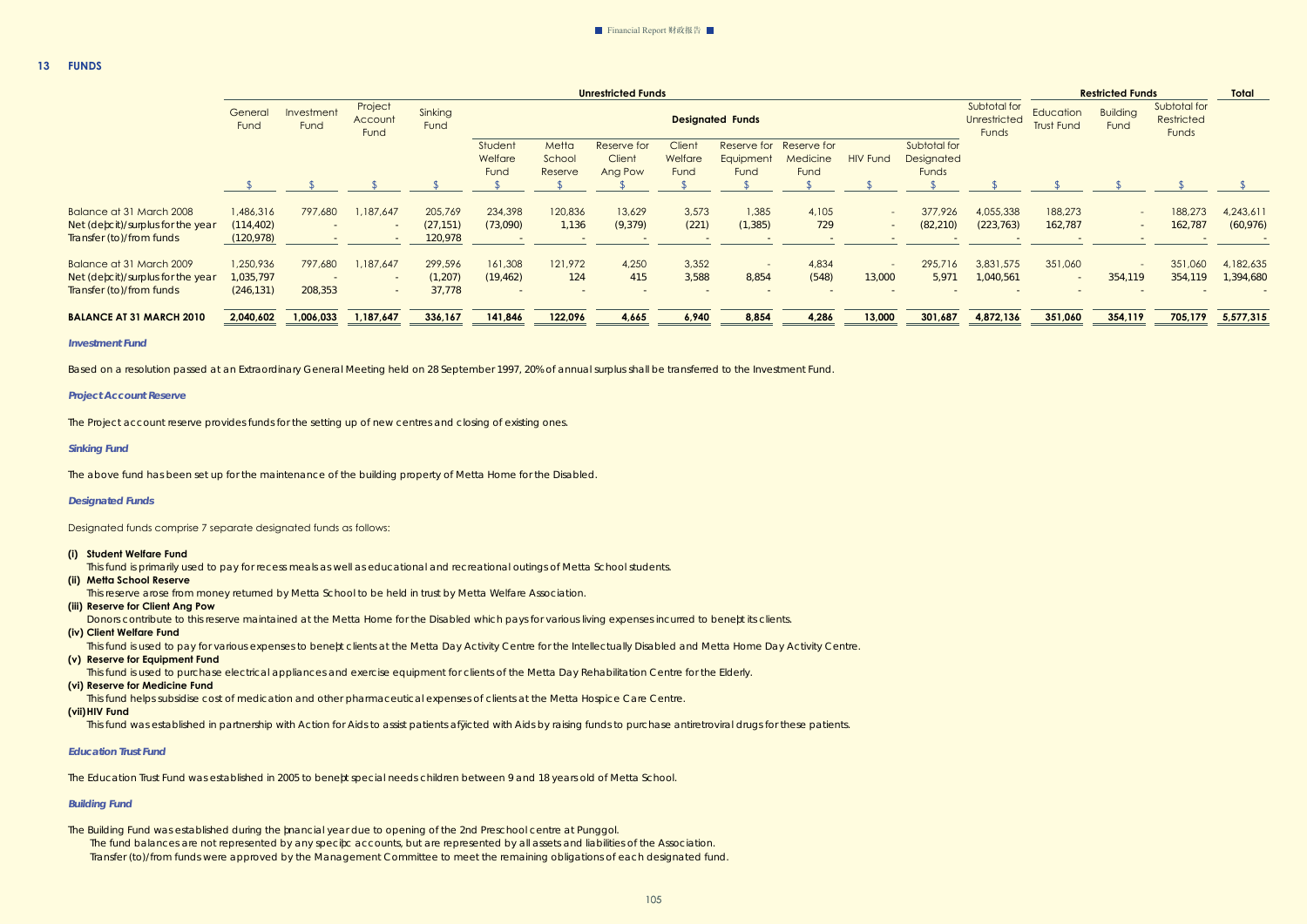|                                   | <b>Unrestricted Funds</b> |                    |                            |                 |                            |                            |                                  | <b>Restricted Funds</b>   |                          |                                             |                 |                                     |                                       |                                |                         |                                     |           |
|-----------------------------------|---------------------------|--------------------|----------------------------|-----------------|----------------------------|----------------------------|----------------------------------|---------------------------|--------------------------|---------------------------------------------|-----------------|-------------------------------------|---------------------------------------|--------------------------------|-------------------------|-------------------------------------|-----------|
|                                   | General<br>Fund           | Investment<br>Fund | Project<br>Account<br>Fund | Sinking<br>Fund |                            |                            |                                  |                           | <b>Designated Funds</b>  |                                             |                 |                                     | Subtotal for<br>Unrestricted<br>Funds | Education<br><b>Trust Fund</b> | <b>Building</b><br>Fund | Subtotal for<br>Restricted<br>Funds |           |
|                                   |                           |                    |                            |                 | Student<br>Welfare<br>Fund | Metta<br>School<br>Reserve | Reserve for<br>Client<br>Ang Pow | Client<br>Welfare<br>Fund | Equipment<br>Fund        | Reserve for Reserve for<br>Medicine<br>Fund | <b>HIV Fund</b> | Subtotal for<br>Designated<br>Funds |                                       |                                |                         |                                     |           |
|                                   |                           |                    |                            |                 |                            |                            |                                  |                           |                          |                                             |                 |                                     |                                       |                                |                         |                                     |           |
| Balance at 31 March 2008          | 1,486,316                 | 797,680            | 1,187,647                  | 205,769         | 234,398                    | 120,836                    | 13,629                           | 3,573                     | 1,385                    | 4,105                                       |                 | 377,926                             | 4,055,338                             | 188,273                        | $\sim$ 10 $\,$          | 188,273                             | 4,243,611 |
| Net (defcit)/surplus for the year | (114, 402)                |                    |                            | (27, 151)       | (73,090)                   | 1,136                      | (9, 379)                         | (221)                     | (1, 385)                 | 729                                         |                 | (82, 210)                           | (223, 763)                            | 162,787                        | $\sim$ $-$              | 162,787                             | (60, 976) |
| Transfer (to)/from funds          | (120, 978)                |                    |                            | 120,978         |                            |                            |                                  |                           |                          |                                             |                 |                                     |                                       |                                |                         |                                     |           |
| Balance at 31 March 2009          | 1,250,936                 | 797,680            | 1,187,647                  | 299,596         | 161,308                    | 121,972                    | 4,250                            | 3,352                     | $\overline{\phantom{0}}$ | 4,834                                       |                 | 295,716                             | 3,831,575                             | 351,060                        |                         | 351,060                             | 4,182,635 |
| Net (defcit)/surplus for the year | 1,035,797                 |                    |                            | (1, 207)        | (19, 462)                  | 124                        | 415                              | 3,588                     | 8,854                    | (548)                                       | 13,000          | 5.971                               | 1,040,561                             | $\sim$                         | 354,119                 | 354,119                             | ,394,680  |
| Transfer (to)/from funds          | (246, 131)                | 208,353            |                            | 37,778          |                            |                            |                                  |                           |                          |                                             |                 |                                     |                                       |                                |                         |                                     |           |
| <b>BALANCE AT 31 MARCH 2010</b>   | 2,040,602                 | 1,006,033          | 1,187,647                  | 336,167         | 141,846                    | 122,096                    | 4,665                            | 6,940                     | 8,854                    | 4,286                                       | 13,000          | 301,687                             | 4,872,136                             | 351,060                        | 354,119                 | 705,179                             | 5,577,315 |

#### *Investment Fund*

Based on a resolution passed at an Extraordinary General Meeting held on 28 September 1997, 20% of annual surplus shall be transferred to the Investment Fund.

#### *Project Account Reserve*

The Project account reserve provides funds for the setting up of new centres and closing of existing ones.

#### *Sinking Fund*

 The above fund has been set up for the maintenance of the building property of Metta Home for the Disabled.

#### *Designated Funds*

 Designated funds comprise 7 separate designated funds as follows:

#### **(i) Student Welfare Fund**

This fund is primarily used to pay for recess meals as well as educational and recreational outings of Metta School students.

#### **(ii) Metta School Reserve**

This reserve arose from money returned by Metta School to be held in trust by Metta Welfare Association.

## **(iii) Reserve for Client Ang Pow**

Donors contribute to this reserve maintained at the Metta Home for the Disabled which pays for various living expenses incurred to beneft its clients.

 **(iv) Client Welfare Fund**

This fund is used to pay for various expenses to beneft clients at the Metta Day Activity Centre for the Intellectually Disabled and Metta Home Day Activity Centre.

 **(v) Reserve for Equipment Fund**

This fund is used to purchase electrical appliances and exercise equipment for clients of the Metta Day Rehabilitation Centre for the Elderly.

 **(vi) Reserve for Medicine Fund**

 This fund helps subsidise cost of medication and other pharmaceutical expenses of clients at the Metta Hospice Care Centre.

#### **(vii) HIV Fund**

This fund was established in partnership with Action for Aids to assist patients afficted with Aids by raising funds to purchase antiretroviral drugs for these patients.

#### *Education Trust Fund*

 The Education Trust Fund was established in 2005 to benefit special needs children between 9 and 18 years old of Metta School.

#### *Building Fund*

The Building Fund was established during the financial year due to opening of the 2nd Preschool centre at Punggol. The fund balances are not represented by any specific accounts, but are represented by all assets and liabilities of the Association. Transfer (to)/from funds were approved by the Management Committee to meet the remaining obligations of each designated fund.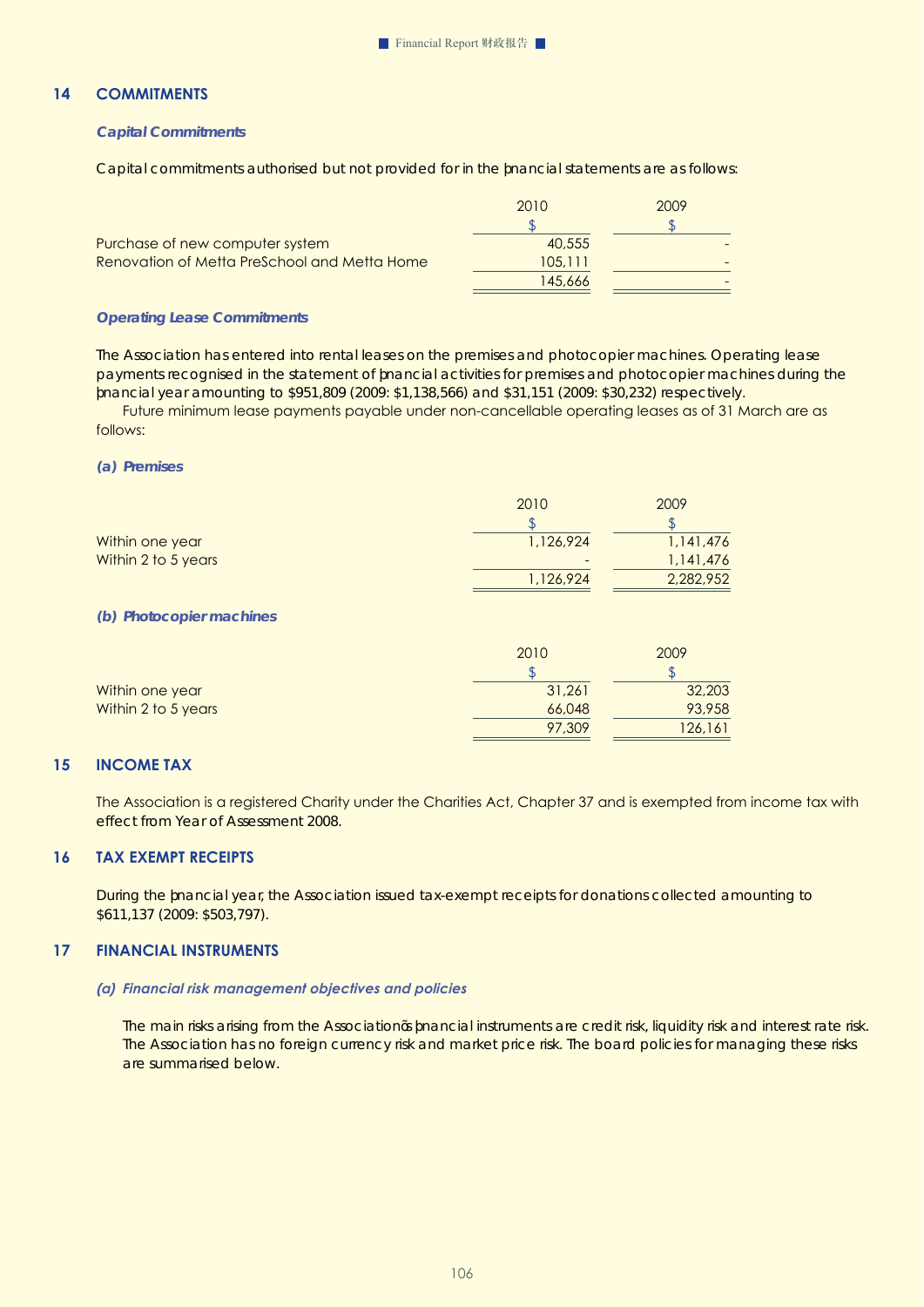# **14 COMMITMENTS**

#### *Capital Commitments*

Capital commitments authorised but not provided for in the financial statements are as follows:

|                                              | 2010    | 2009 |
|----------------------------------------------|---------|------|
|                                              |         |      |
| Purchase of new computer system              | 40,555  |      |
| Renovation of Metta PreSchool and Metta Home | 105.111 |      |
|                                              | 145,666 |      |
|                                              |         |      |

#### *Operating Lease Commitments*

The Association has entered into rental leases on the premises and photocopier machines. Operating lease payments recognised in the statement of financial activities for premises and photocopier machines during the financial year amounting to \$951,809 (2009: \$1,138,566) and \$31,151 (2009: \$30,232) respectively.

 Future minimum lease payments payable under non-cancellable operating leases as of 31 March are as follows:

#### *(a) Premises*

|                          | 2010      | 2009      |
|--------------------------|-----------|-----------|
|                          |           |           |
| Within one year          | 1,126,924 | 1,141,476 |
| Within 2 to 5 years      |           | 1,141,476 |
|                          | 1,126,924 | 2,282,952 |
|                          |           |           |
| (b) Photocopier machines |           |           |

|                     | 2010   | 2009    |
|---------------------|--------|---------|
|                     |        |         |
| Within one year     | 31,261 | 32,203  |
| Within 2 to 5 years | 66,048 | 93,958  |
|                     | 97,309 | 126,161 |

## **15 INCOME TAX**

The Association is a registered Charity under the Charities Act, Chapter 37 and is exempted from income tax with effect from Year of Assessment 2008.

#### **16 TAX EXEMPT RECEIPTS**

During the fnancial year, the Association issued tax-exempt receipts for donations collected amounting to \$611,137 (2009: \$503,797).

#### **17 FINANCIAL INSTRUMENTS**

#### *(a) Financial risk management objectives and policies*

The main risks arising from the Association's financial instruments are credit risk, liquidity risk and interest rate risk. The Association has no foreign currency risk and market price risk. The board policies for managing these risks are summarised below.